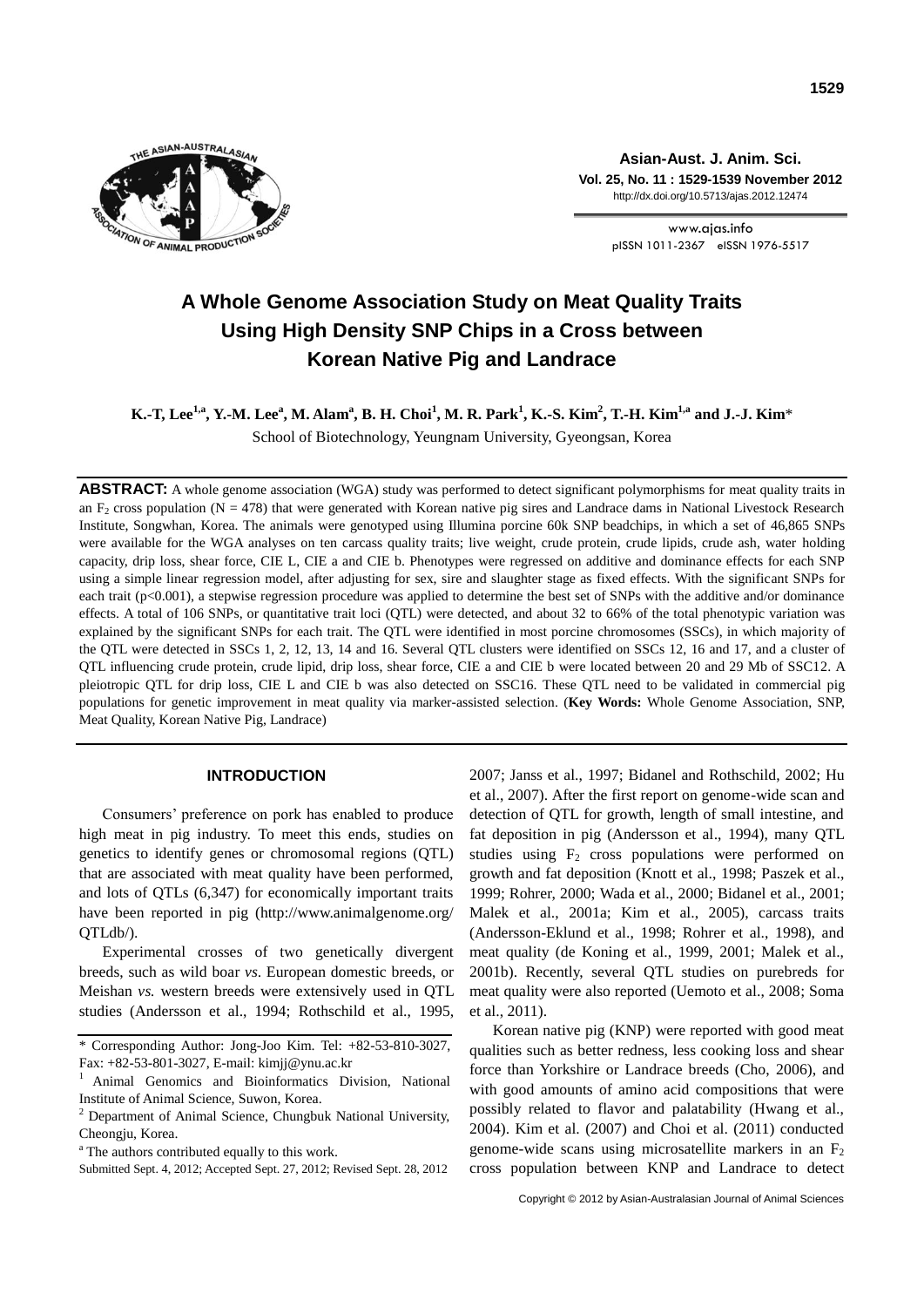

**Asian-Aust. J. Anim. Sci. Vol. 25, No. 11 : 1529-1539 November 2012** http://dx.doi.org/10.5713/ajas.2012.12474

> www.ajas.info pISSN 1011-2367 eISSN 1976-5517

# **A Whole Genome Association Study on Meat Quality Traits Using High Density SNP Chips in a Cross between Korean Native Pig and Landrace**

K.-T, Lee $^{1,a}$ , Y.-M. Lee $^a$ , M. Alam $^a$ , B. H. Choi $^1$ , M. R. Park $^1$ , K.-S. Kim $^2$ , T.-H. Kim $^{1,a}$  and J.-J. Kim $^\ast$ School of Biotechnology, Yeungnam University, Gyeongsan, Korea

**ABSTRACT:** A whole genome association (WGA) study was performed to detect significant polymorphisms for meat quality traits in an  $F_2$  cross population (N = 478) that were generated with Korean native pig sires and Landrace dams in National Livestock Research Institute, Songwhan, Korea. The animals were genotyped using Illumina porcine 60k SNP beadchips, in which a set of 46,865 SNPs were available for the WGA analyses on ten carcass quality traits; live weight, crude protein, crude lipids, crude ash, water holding capacity, drip loss, shear force, CIE L, CIE a and CIE b. Phenotypes were regressed on additive and dominance effects for each SNP using a simple linear regression model, after adjusting for sex, sire and slaughter stage as fixed effects. With the significant SNPs for each trait (p<0.001), a stepwise regression procedure was applied to determine the best set of SNPs with the additive and/or dominance effects. A total of 106 SNPs, or quantitative trait loci (QTL) were detected, and about 32 to 66% of the total phenotypic variation was explained by the significant SNPs for each trait. The QTL were identified in most porcine chromosomes (SSCs), in which majority of the QTL were detected in SSCs 1, 2, 12, 13, 14 and 16. Several QTL clusters were identified on SSCs 12, 16 and 17, and a cluster of QTL influencing crude protein, crude lipid, drip loss, shear force, CIE a and CIE b were located between 20 and 29 Mb of SSC12. A pleiotropic QTL for drip loss, CIE L and CIE b was also detected on SSC16. These QTL need to be validated in commercial pig populations for genetic improvement in meat quality via marker-assisted selection. (**Key Words:** Whole Genome Association, SNP, Meat Quality, Korean Native Pig, Landrace)

# **INTRODUCTION**

Consumers' preference on pork has enabled to produce high meat in pig industry. To meet this ends, studies on genetics to identify genes or chromosomal regions (QTL) that are associated with meat quality have been performed, and lots of QTLs (6,347) for economically important traits have been reported in pig (http://www.animalgenome.org/ QTLdb/).

Experimental crosses of two genetically divergent breeds, such as wild boar *vs*. European domestic breeds, or Meishan *vs.* western breeds were extensively used in QTL studies (Andersson et al., 1994; Rothschild et al., 1995,

2007; Janss et al., 1997; Bidanel and Rothschild, 2002; Hu et al., 2007). After the first report on genome-wide scan and detection of QTL for growth, length of small intestine, and fat deposition in pig (Andersson et al., 1994), many QTL studies using  $F_2$  cross populations were performed on growth and fat deposition (Knott et al., 1998; Paszek et al., 1999; Rohrer, 2000; Wada et al., 2000; Bidanel et al., 2001; Malek et al., 2001a; Kim et al., 2005), carcass traits (Andersson-Eklund et al., 1998; Rohrer et al., 1998), and meat quality (de Koning et al., 1999, 2001; Malek et al., 2001b). Recently, several QTL studies on purebreds for meat quality were also reported (Uemoto et al., 2008; Soma et al., 2011).

Korean native pig (KNP) were reported with good meat qualities such as better redness, less cooking loss and shear force than Yorkshire or Landrace breeds (Cho, 2006), and with good amounts of amino acid compositions that were possibly related to flavor and palatability (Hwang et al., 2004). Kim et al. (2007) and Choi et al. (2011) conducted genome-wide scans using microsatellite markers in an  $F_2$ cross population between KNP and Landrace to detect

<sup>\*</sup> Corresponding Author: Jong-Joo Kim. Tel: +82-53-810-3027, Fax: +82-53-801-3027, E-mail: kimjj@ynu.ac.kr

<sup>1</sup> Animal Genomics and Bioinformatics Division, National Institute of Animal Science, Suwon, Korea.

 $2$  Department of Animal Science, Chungbuk National University, Cheongju, Korea.

<sup>&</sup>lt;sup>a</sup> The authors contributed equally to this work.

Submitted Sept. 4, 2012; Accepted Sept. 27, 2012; Revised Sept. 28, 2012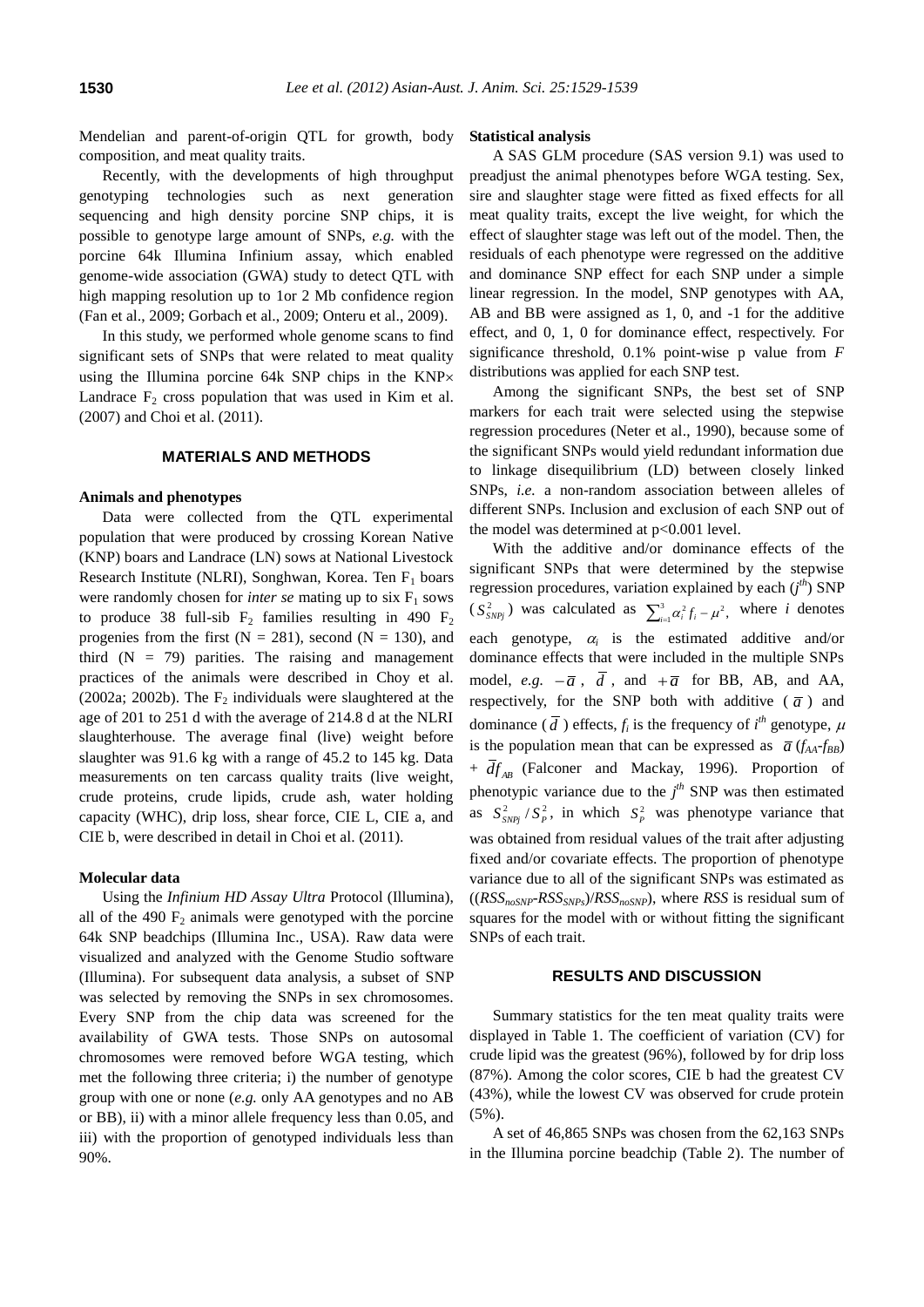Mendelian and parent-of-origin QTL for growth, body composition, and meat quality traits.

Recently, with the developments of high throughput genotyping technologies such as next generation sequencing and high density porcine SNP chips, it is possible to genotype large amount of SNPs, *e.g.* with the porcine 64k Illumina Infinium assay, which enabled genome-wide association (GWA) study to detect QTL with high mapping resolution up to 1or 2 Mb confidence region (Fan et al., 2009; Gorbach et al., 2009; Onteru et al., 2009).

In this study, we performed whole genome scans to find significant sets of SNPs that were related to meat quality using the Illumina porcine 64k SNP chips in the KNP Landrace  $F_2$  cross population that was used in Kim et al. (2007) and Choi et al. (2011).

# **MATERIALS AND METHODS**

## **Animals and phenotypes**

Data were collected from the QTL experimental population that were produced by crossing Korean Native (KNP) boars and Landrace (LN) sows at National Livestock Research Institute (NLRI), Songhwan, Korea. Ten  $F_1$  boars were randomly chosen for *inter se* mating up to  $\text{six } F_1$  sows to produce 38 full-sib  $F_2$  families resulting in 490  $F_2$ progenies from the first ( $N = 281$ ), second ( $N = 130$ ), and third  $(N = 79)$  parities. The raising and management practices of the animals were described in Choy et al. (2002a; 2002b). The  $F_2$  individuals were slaughtered at the age of 201 to 251 d with the average of 214.8 d at the NLRI slaughterhouse. The average final (live) weight before slaughter was 91.6 kg with a range of 45.2 to 145 kg. Data measurements on ten carcass quality traits (live weight, crude proteins, crude lipids, crude ash, water holding capacity (WHC), drip loss, shear force, CIE L, CIE a, and CIE b, were described in detail in Choi et al. (2011).

## **Molecular data**

Using the *Infinium HD Assay Ultra* Protocol (Illumina), all of the 490  $F_2$  animals were genotyped with the porcine 64k SNP beadchips (Illumina Inc., USA). Raw data were visualized and analyzed with the Genome Studio software (Illumina). For subsequent data analysis, a subset of SNP was selected by removing the SNPs in sex chromosomes. Every SNP from the chip data was screened for the availability of GWA tests. Those SNPs on autosomal chromosomes were removed before WGA testing, which met the following three criteria; i) the number of genotype group with one or none (*e.g.* only AA genotypes and no AB or BB), ii) with a minor allele frequency less than 0.05, and iii) with the proportion of genotyped individuals less than 90%.

#### **Statistical analysis**

A SAS GLM procedure (SAS version 9.1) was used to preadjust the animal phenotypes before WGA testing. Sex, sire and slaughter stage were fitted as fixed effects for all meat quality traits, except the live weight, for which the effect of slaughter stage was left out of the model. Then, the residuals of each phenotype were regressed on the additive and dominance SNP effect for each SNP under a simple linear regression. In the model, SNP genotypes with AA, AB and BB were assigned as 1, 0, and -1 for the additive effect, and 0, 1, 0 for dominance effect, respectively. For significance threshold, 0.1% point-wise p value from *F* distributions was applied for each SNP test.

Among the significant SNPs, the best set of SNP markers for each trait were selected using the stepwise regression procedures (Neter et al., 1990), because some of the significant SNPs would yield redundant information due to linkage disequilibrium (LD) between closely linked SNPs, *i.e.* a non-random association between alleles of different SNPs. Inclusion and exclusion of each SNP out of the model was determined at p<0.001 level.

With the additive and/or dominance effects of the significant SNPs that were determined by the stepwise regression procedures, variation explained by each (*j th*) SNP  $(S_{SNPj}^2)$  was calculated as  $\sum_{i=1}^3 \alpha_i^2 f_i$  –  $\int_{i=1}^{3} \alpha_i^2 f_i - \mu^2$ , where *i* denotes each genotype,  $\alpha_i$  is the estimated additive and/or dominance effects that were included in the multiple SNPs model, *e.g.*  $-\overline{a}$ , *d*, and  $+\overline{a}$  for BB, AB, and AA, respectively, for the SNP both with additive  $(\bar{a})$  and dominance  $(\overline{d})$  effects,  $f_i$  is the frequency of  $i^{th}$  genotype,  $\mu$ is the population mean that can be expressed as  $\bar{a}$  ( $f_{AA}$ *-f<sub>BB</sub>*) + *AB df* (Falconer and Mackay, 1996). Proportion of phenotypic variance due to the  $j<sup>th</sup>$  SNP was then estimated as  $S_{SNPj}^2 / S_p^2$ , in which  $S_p^2$  was phenotype variance that was obtained from residual values of the trait after adjusting fixed and/or covariate effects. The proportion of phenotype variance due to all of the significant SNPs was estimated as  $((RSS_{noSNP} - RSS_{SNPs})/RSS_{noSNP})$ , where *RSS* is residual sum of squares for the model with or without fitting the significant SNPs of each trait.

## **RESULTS AND DISCUSSION**

Summary statistics for the ten meat quality traits were displayed in Table 1. The coefficient of variation (CV) for crude lipid was the greatest (96%), followed by for drip loss (87%). Among the color scores, CIE b had the greatest CV (43%), while the lowest CV was observed for crude protein (5%).

A set of 46,865 SNPs was chosen from the 62,163 SNPs in the Illumina porcine beadchip (Table 2). The number of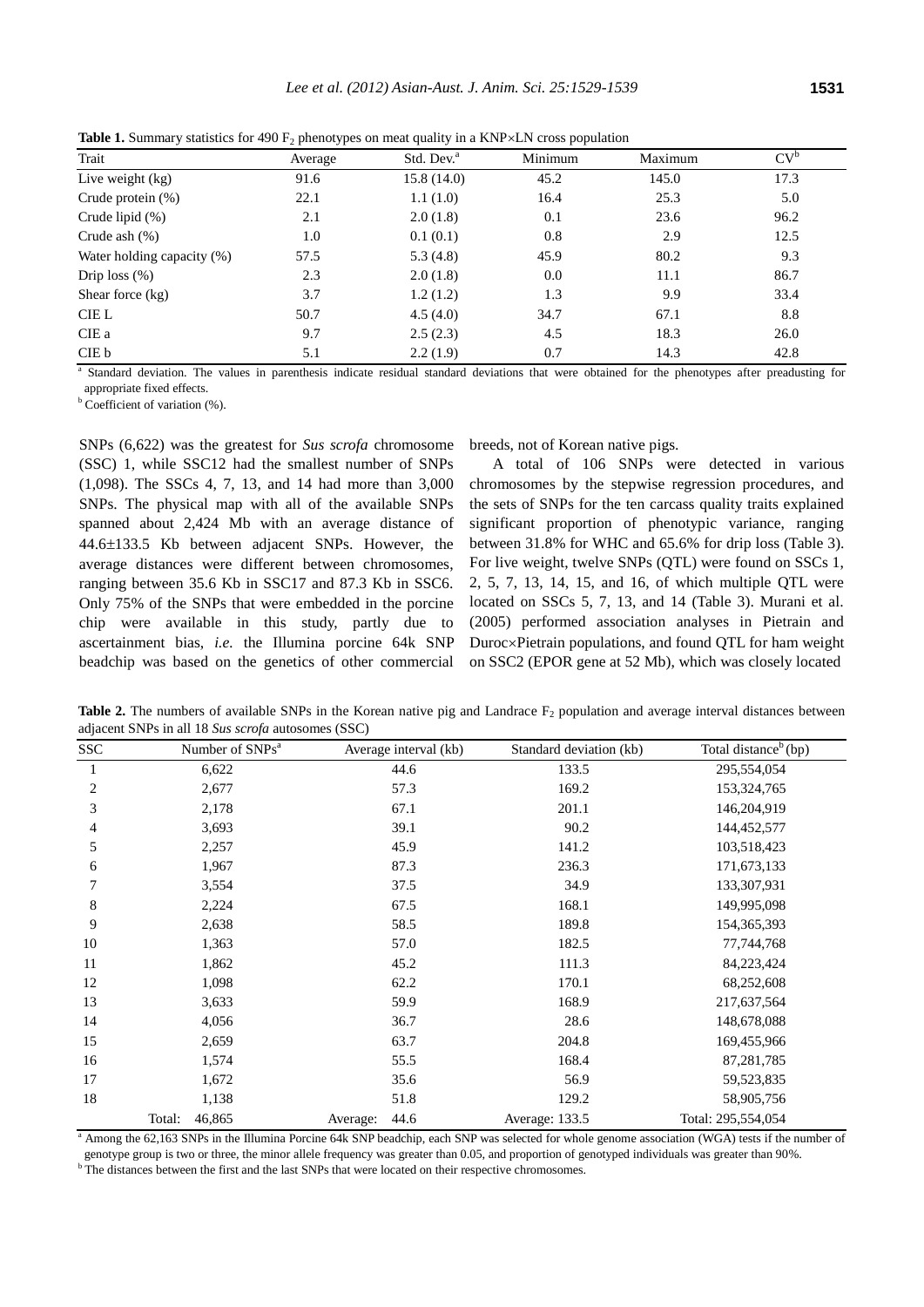|                            | $\sim$ 1<br>- 71 |                        |         |         |        |
|----------------------------|------------------|------------------------|---------|---------|--------|
| Trait                      | Average          | Std. Dev. <sup>a</sup> | Minimum | Maximum | $CV^b$ |
| Live weight $(kg)$         | 91.6             | 15.8(14.0)             | 45.2    | 145.0   | 17.3   |
| Crude protein $(\%)$       | 22.1             | 1.1(1.0)               | 16.4    | 25.3    | 5.0    |
| Crude lipid $(\%)$         | 2.1              | 2.0(1.8)               | 0.1     | 23.6    | 96.2   |
| Crude ash $(\%)$           | 1.0              | 0.1(0.1)               | 0.8     | 2.9     | 12.5   |
| Water holding capacity (%) | 57.5             | 5.3(4.8)               | 45.9    | 80.2    | 9.3    |
| Drip loss $(\%)$           | 2.3              | 2.0(1.8)               | 0.0     | 11.1    | 86.7   |
| Shear force $(kg)$         | 3.7              | 1.2(1.2)               | 1.3     | 9.9     | 33.4   |
| CIE L                      | 50.7             | 4.5(4.0)               | 34.7    | 67.1    | 8.8    |
| CIE a                      | 9.7              | 2.5(2.3)               | 4.5     | 18.3    | 26.0   |
| CIE b                      | 5.1              | 2.2(1.9)               | 0.7     | 14.3    | 42.8   |

**Table 1.** Summary statistics for 490  $F_2$  phenotypes on meat quality in a KNP $\times$ LN cross population

<sup>a</sup> Standard deviation. The values in parenthesis indicate residual standard deviations that were obtained for the phenotypes after preadusting for appropriate fixed effects.

<sup>b</sup> Coefficient of variation (%).

SNPs (6,622) was the greatest for *Sus scrofa* chromosome (SSC) 1, while SSC12 had the smallest number of SNPs (1,098). The SSCs 4, 7, 13, and 14 had more than 3,000 SNPs. The physical map with all of the available SNPs spanned about 2,424 Mb with an average distance of 44.6 $\pm$ 133.5 Kb between adjacent SNPs. However, the average distances were different between chromosomes, ranging between 35.6 Kb in SSC17 and 87.3 Kb in SSC6. Only 75% of the SNPs that were embedded in the porcine chip were available in this study, partly due to ascertainment bias, *i.e.* the Illumina porcine 64k SNP beadchip was based on the genetics of other commercial breeds, not of Korean native pigs.

A total of 106 SNPs were detected in various chromosomes by the stepwise regression procedures, and the sets of SNPs for the ten carcass quality traits explained significant proportion of phenotypic variance, ranging between 31.8% for WHC and 65.6% for drip loss (Table 3). For live weight, twelve SNPs (QTL) were found on SSCs 1, 2, 5, 7, 13, 14, 15, and 16, of which multiple QTL were located on SSCs 5, 7, 13, and 14 (Table 3). Murani et al. (2005) performed association analyses in Pietrain and Duroc×Pietrain populations, and found QTL for ham weight on SSC2 (EPOR gene at 52 Mb), which was closely located

**Table 2.** The numbers of available SNPs in the Korean native pig and Landrace  $F_2$  population and average interval distances between adjacent SNPs in all 18 *Sus scrofa* autosomes (SSC)

| <b>SSC</b> | Number of SNPs <sup>a</sup> | Average interval (kb) | Standard deviation (kb) | Total distance <sup>b</sup> (bp) |
|------------|-----------------------------|-----------------------|-------------------------|----------------------------------|
|            | 6,622                       | 44.6                  | 133.5                   | 295,554,054                      |
| 2          | 2,677                       | 57.3                  | 169.2                   | 153,324,765                      |
| 3          | 2,178                       | 67.1                  | 201.1                   | 146,204,919                      |
| 4          | 3,693                       | 39.1                  | 90.2                    | 144,452,577                      |
| 5          | 2,257                       | 45.9                  | 141.2                   | 103,518,423                      |
| 6          | 1,967                       | 87.3                  | 236.3                   | 171,673,133                      |
|            | 3,554                       | 37.5                  | 34.9                    | 133, 307, 931                    |
| 8          | 2,224                       | 67.5                  | 168.1                   | 149,995,098                      |
| 9          | 2,638                       | 58.5                  | 189.8                   | 154, 365, 393                    |
| 10         | 1,363                       | 57.0                  | 182.5                   | 77,744,768                       |
| 11         | 1,862                       | 45.2                  | 111.3                   | 84,223,424                       |
| 12         | 1,098                       | 62.2                  | 170.1                   | 68,252,608                       |
| 13         | 3,633                       | 59.9                  | 168.9                   | 217,637,564                      |
| 14         | 4,056                       | 36.7                  | 28.6                    | 148,678,088                      |
| 15         | 2,659                       | 63.7                  | 204.8                   | 169,455,966                      |
| 16         | 1,574                       | 55.5                  | 168.4                   | 87,281,785                       |
| 17         | 1,672                       | 35.6                  | 56.9                    | 59,523,835                       |
| 18         | 1,138                       | 51.8                  | 129.2                   | 58,905,756                       |
|            | 46,865<br>Total:            | 44.6<br>Average:      | Average: 133.5          | Total: 295,554,054               |

<sup>a</sup> Among the 62,163 SNPs in the Illumina Porcine 64k SNP beadchip, each SNP was selected for whole genome association (WGA) tests if the number of genotype group is two or three, the minor allele frequency was greater than 0.05, and proportion of genotyped individuals was greater than 90%.  $<sup>b</sup>$  The distances between the first and the last SNPs that were located on their respective chromosomes.</sup>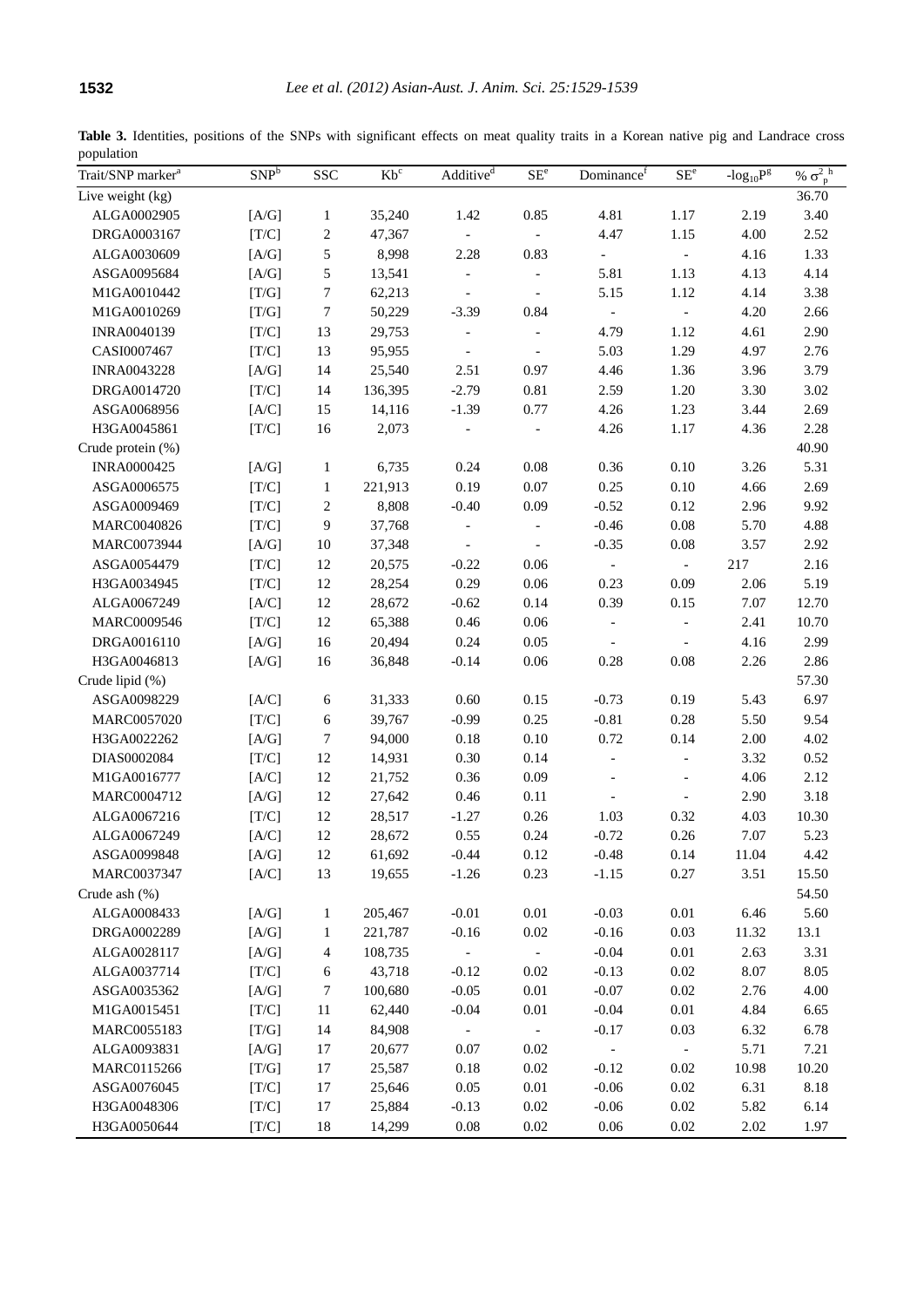Table 3. Identities, positions of the SNPs with significant effects on meat quality traits in a Korean native pig and Landrace cross population

| 36.70<br>ALGA0002905<br>35,240<br>1.42<br>4.81<br>2.19<br>3.40<br>[A/G]<br>0.85<br>1.17<br>1<br>DRGA0003167<br>[T/C]<br>$\boldsymbol{2}$<br>47,367<br>4.47<br>1.15<br>4.00<br>2.52<br>$\Box$<br>5<br>[A/G]<br>1.33<br>ALGA0030609<br>8,998<br>2.28<br>0.83<br>4.16<br>$\overline{\phantom{a}}$<br>5<br>5.81<br>4.14<br>ASGA0095684<br>[A/G]<br>13,541<br>1.13<br>4.13<br>$\overline{\phantom{a}}$<br>$\overline{\phantom{a}}$<br>$\boldsymbol{7}$<br>[T/G]<br>62,213<br>5.15<br>4.14<br>3.38<br>M1GA0010442<br>1.12<br>$\overline{\phantom{a}}$<br>$\blacksquare$<br>$\boldsymbol{7}$<br>[T/G]<br>50,229<br>4.20<br>2.66<br>M1GA0010269<br>$-3.39$<br>0.84<br>$\mathcal{L}_{\mathcal{A}}$<br>$\overline{\phantom{a}}$<br>2.90<br>4.79<br>INRA0040139<br>[T/C]<br>13<br>29,753<br>1.12<br>4.61<br>$\qquad \qquad -$<br>$\overline{\phantom{a}}$<br>13<br>5.03<br>1.29<br>4.97<br>2.76<br>CASI0007467<br>[T/C]<br>95,955<br>$\overline{\phantom{a}}$<br>$\overline{\phantom{a}}$<br>[A/G]<br>25,540<br>2.51<br>4.46<br>3.79<br><b>INRA0043228</b><br>14<br>0.97<br>1.36<br>3.96<br>2.59<br>3.02<br>DRGA0014720<br>[T/C]<br>14<br>136,395<br>$-2.79$<br>0.81<br>1.20<br>3.30<br>14,116<br>$-1.39$<br>0.77<br>4.26<br>ASGA0068956<br>[A/C]<br>15<br>1.23<br>3.44<br>2.69<br>[T/C]<br>16<br>2,073<br>4.26<br>4.36<br>2.28<br>H3GA0045861<br>1.17<br>$\overline{\phantom{a}}$<br>$\overline{\phantom{a}}$<br>40.90<br>Crude protein (%)<br>0.24<br>0.08<br>0.36<br>0.10<br>5.31<br><b>INRA0000425</b><br>[A/G]<br>$\mathbf{1}$<br>6,735<br>3.26<br>0.25<br>221,913<br>0.19<br>0.07<br>0.10<br>4.66<br>2.69<br>ASGA0006575<br>[T/C]<br>$\mathbf{1}$<br>$\boldsymbol{2}$<br>8,808<br>$-0.52$<br>2.96<br>9.92<br>ASGA0009469<br>[T/C]<br>$-0.40$<br>0.09<br>0.12<br>9<br>37,768<br>5.70<br>4.88<br>MARC0040826<br>[T/C]<br>$-0.46$<br>0.08<br>$\blacksquare$<br>MARC0073944<br>[A/G]<br>$-0.35$<br>0.08<br>3.57<br>2.92<br>$10\,$<br>37,348<br>$\overline{\phantom{a}}$<br>$\blacksquare$<br>2.16<br>ASGA0054479<br>12<br>20,575<br>$-0.22$<br>217<br>[T/C]<br>0.06<br>$\blacksquare$<br>$\equiv$<br>12<br>28,254<br>0.29<br>0.06<br>0.23<br>0.09<br>2.06<br>5.19<br>H3GA0034945<br>[T/C]<br>[A/C]<br>12<br>28,672<br>$-0.62$<br>0.14<br>0.39<br>7.07<br>ALGA0067249<br>0.15<br>12.70<br>[T/C]<br>12<br>65,388<br>0.46<br>0.06<br>2.41<br>10.70<br>MARC0009546<br>$\blacksquare$<br>$\overline{\phantom{a}}$<br>16<br>20,494<br>0.24<br>0.05<br>4.16<br>2.99<br>DRGA0016110<br>[A/G]<br>$\overline{\phantom{a}}$<br>$\overline{\phantom{a}}$<br>H3GA0046813<br>16<br>36,848<br>$-0.14$<br>0.06<br>0.28<br>0.08<br>2.26<br>2.86<br>[A/G]<br>Crude lipid (%)<br>57.30<br>31,333<br>0.15<br>$-0.73$<br>0.19<br>5.43<br>6.97<br>ASGA0098229<br>[A/C]<br>6<br>0.60<br>0.25<br>[T/C]<br>6<br>39,767<br>$-0.99$<br>$-0.81$<br>0.28<br>5.50<br>9.54<br>MARC0057020<br>7<br>94,000<br>0.10<br>0.72<br>2.00<br>4.02<br>H3GA0022262<br>[A/G]<br>0.18<br>0.14<br>0.30<br>0.14<br>0.52<br>DIAS0002084<br>[T/C]<br>12<br>14,931<br>3.32<br>$\blacksquare$<br>$\blacksquare$<br>21,752<br>0.36<br>0.09<br>2.12<br>M1GA0016777<br>[A/C]<br>12<br>4.06<br>$\overline{\phantom{a}}$<br>$\qquad \qquad \blacksquare$<br>12<br>2.90<br>3.18<br>MARC0004712<br>[A/G]<br>27,642<br>0.46<br>0.11<br>$\overline{\phantom{a}}$<br>$\overline{\phantom{a}}$<br>12<br>0.26<br>4.03<br>10.30<br>ALGA0067216<br>[T/C]<br>28,517<br>$-1.27$<br>1.03<br>0.32<br>12<br>5.23<br>ALGA0067249<br>[A/C]<br>28,672<br>0.55<br>0.24<br>$-0.72$<br>0.26<br>7.07<br>12<br>4.42<br>ASGA0099848<br>[A/G]<br>61,692<br>$-0.44$<br>0.12<br>$-0.48$<br>0.14<br>11.04<br>13<br>$-1.26$<br>$-1.15$<br>3.51<br>15.50<br>MARC0037347<br>[A/C]<br>19,655<br>0.23<br>0.27<br>54.50<br>$-0.01$<br>$-0.03$<br>6.46<br>5.60<br>ALGA0008433<br>$[A/G]$<br>$\mathbf{1}$<br>205,467<br>$0.01\,$<br>$0.01\,$<br>DRGA0002289<br>$[\mathrm{A/G}]$<br>221,787<br>$-0.16$<br>$0.02\,$<br>$-0.16$<br>0.03<br>13.1<br>$\mathbf{1}$<br>11.32<br>$-0.04$<br>$0.01\,$<br>3.31<br>ALGA0028117<br>[A/G]<br>4<br>108,735<br>2.63<br>$\overline{\phantom{a}}$<br>$-0.13$<br>8.05<br>ALGA0037714<br>[T/C]<br>43,718<br>$-0.12$<br>0.02<br>$0.02\,$<br>8.07<br>6<br>100,680<br>$-0.05$<br>$0.01\,$<br>$-0.07$<br>2.76<br>4.00<br>ASGA0035362<br>[A/G]<br>7<br>0.02<br>$-0.04$<br>$0.01\,$<br>$-0.04$<br>$0.01\,$<br>4.84<br>M1GA0015451<br>[T/C]<br>11<br>62,440<br>6.65<br>6.78<br>MARC0055183<br>[T/G]<br>14<br>84,908<br>$-0.17$<br>0.03<br>6.32<br>$\equiv$<br>$\equiv$<br>0.07<br>ALGA0093831<br>[A/G]<br>17<br>20,677<br>0.02<br>5.71<br>7.21<br>$\blacksquare$<br>$\overline{\phantom{a}}$<br>0.02<br>$-0.12$<br>10.20<br>MARC0115266<br>[T/G]<br>17<br>25,587<br>0.18<br>0.02<br>10.98<br>ASGA0076045<br>[T/C]<br>17<br>25,646<br>0.05<br>0.01<br>$-0.06$<br>$0.02\,$<br>6.31<br>8.18<br>6.14<br>H3GA0048306<br>[T/C]<br>17<br>25,884<br>$-0.13$<br>0.02<br>$-0.06$<br>0.02<br>5.82<br>H3GA0050644<br>[T/C]<br>18<br>14,299<br>0.08<br>$0.02\,$<br>0.06<br>$0.02\,$<br>2.02<br>1.97 | Trait/SNP marker <sup>a</sup> | SNP <sup>b</sup> | <b>SSC</b> | $Kb^c$ | Additive <sup>d</sup> | $SE^e$ | Dominance <sup>f</sup> | $\mathrm{SE}^{\mathrm{e}}$ | - $log_{10}P^g$ | % $\sigma_{p}^{2}$ <sup>h</sup> |
|-----------------------------------------------------------------------------------------------------------------------------------------------------------------------------------------------------------------------------------------------------------------------------------------------------------------------------------------------------------------------------------------------------------------------------------------------------------------------------------------------------------------------------------------------------------------------------------------------------------------------------------------------------------------------------------------------------------------------------------------------------------------------------------------------------------------------------------------------------------------------------------------------------------------------------------------------------------------------------------------------------------------------------------------------------------------------------------------------------------------------------------------------------------------------------------------------------------------------------------------------------------------------------------------------------------------------------------------------------------------------------------------------------------------------------------------------------------------------------------------------------------------------------------------------------------------------------------------------------------------------------------------------------------------------------------------------------------------------------------------------------------------------------------------------------------------------------------------------------------------------------------------------------------------------------------------------------------------------------------------------------------------------------------------------------------------------------------------------------------------------------------------------------------------------------------------------------------------------------------------------------------------------------------------------------------------------------------------------------------------------------------------------------------------------------------------------------------------------------------------------------------------------------------------------------------------------------------------------------------------------------------------------------------------------------------------------------------------------------------------------------------------------------------------------------------------------------------------------------------------------------------------------------------------------------------------------------------------------------------------------------------------------------------------------------------------------------------------------------------------------------------------------------------------------------------------------------------------------------------------------------------------------------------------------------------------------------------------------------------------------------------------------------------------------------------------------------------------------------------------------------------------------------------------------------------------------------------------------------------------------------------------------------------------------------------------------------------------------------------------------------------------------------------------------------------------------------------------------------------------------------------------------------------------------------------------------------------------------------------------------------------------------------------------------------------------------------------------------------------------------------------------------------------------------------------------------------------------------------------------------------------------------------------------------------------------------------------------------------------------------------------------------------------------------------------------------------------------------------------------------------------------------------------------------------------------------------------------------------------------------------------------------------------------------------------------------------------------------------------------------------------------------------------------------------------------------------------------------------------------------------------------------------------------------------------------------------------------------------------------------------------|-------------------------------|------------------|------------|--------|-----------------------|--------|------------------------|----------------------------|-----------------|---------------------------------|
|                                                                                                                                                                                                                                                                                                                                                                                                                                                                                                                                                                                                                                                                                                                                                                                                                                                                                                                                                                                                                                                                                                                                                                                                                                                                                                                                                                                                                                                                                                                                                                                                                                                                                                                                                                                                                                                                                                                                                                                                                                                                                                                                                                                                                                                                                                                                                                                                                                                                                                                                                                                                                                                                                                                                                                                                                                                                                                                                                                                                                                                                                                                                                                                                                                                                                                                                                                                                                                                                                                                                                                                                                                                                                                                                                                                                                                                                                                                                                                                                                                                                                                                                                                                                                                                                                                                                                                                                                                                                                                                                                                                                                                                                                                                                                                                                                                                                                                                                                                                                           | Live weight (kg)              |                  |            |        |                       |        |                        |                            |                 |                                 |
|                                                                                                                                                                                                                                                                                                                                                                                                                                                                                                                                                                                                                                                                                                                                                                                                                                                                                                                                                                                                                                                                                                                                                                                                                                                                                                                                                                                                                                                                                                                                                                                                                                                                                                                                                                                                                                                                                                                                                                                                                                                                                                                                                                                                                                                                                                                                                                                                                                                                                                                                                                                                                                                                                                                                                                                                                                                                                                                                                                                                                                                                                                                                                                                                                                                                                                                                                                                                                                                                                                                                                                                                                                                                                                                                                                                                                                                                                                                                                                                                                                                                                                                                                                                                                                                                                                                                                                                                                                                                                                                                                                                                                                                                                                                                                                                                                                                                                                                                                                                                           |                               |                  |            |        |                       |        |                        |                            |                 |                                 |
|                                                                                                                                                                                                                                                                                                                                                                                                                                                                                                                                                                                                                                                                                                                                                                                                                                                                                                                                                                                                                                                                                                                                                                                                                                                                                                                                                                                                                                                                                                                                                                                                                                                                                                                                                                                                                                                                                                                                                                                                                                                                                                                                                                                                                                                                                                                                                                                                                                                                                                                                                                                                                                                                                                                                                                                                                                                                                                                                                                                                                                                                                                                                                                                                                                                                                                                                                                                                                                                                                                                                                                                                                                                                                                                                                                                                                                                                                                                                                                                                                                                                                                                                                                                                                                                                                                                                                                                                                                                                                                                                                                                                                                                                                                                                                                                                                                                                                                                                                                                                           |                               |                  |            |        |                       |        |                        |                            |                 |                                 |
|                                                                                                                                                                                                                                                                                                                                                                                                                                                                                                                                                                                                                                                                                                                                                                                                                                                                                                                                                                                                                                                                                                                                                                                                                                                                                                                                                                                                                                                                                                                                                                                                                                                                                                                                                                                                                                                                                                                                                                                                                                                                                                                                                                                                                                                                                                                                                                                                                                                                                                                                                                                                                                                                                                                                                                                                                                                                                                                                                                                                                                                                                                                                                                                                                                                                                                                                                                                                                                                                                                                                                                                                                                                                                                                                                                                                                                                                                                                                                                                                                                                                                                                                                                                                                                                                                                                                                                                                                                                                                                                                                                                                                                                                                                                                                                                                                                                                                                                                                                                                           |                               |                  |            |        |                       |        |                        |                            |                 |                                 |
|                                                                                                                                                                                                                                                                                                                                                                                                                                                                                                                                                                                                                                                                                                                                                                                                                                                                                                                                                                                                                                                                                                                                                                                                                                                                                                                                                                                                                                                                                                                                                                                                                                                                                                                                                                                                                                                                                                                                                                                                                                                                                                                                                                                                                                                                                                                                                                                                                                                                                                                                                                                                                                                                                                                                                                                                                                                                                                                                                                                                                                                                                                                                                                                                                                                                                                                                                                                                                                                                                                                                                                                                                                                                                                                                                                                                                                                                                                                                                                                                                                                                                                                                                                                                                                                                                                                                                                                                                                                                                                                                                                                                                                                                                                                                                                                                                                                                                                                                                                                                           |                               |                  |            |        |                       |        |                        |                            |                 |                                 |
|                                                                                                                                                                                                                                                                                                                                                                                                                                                                                                                                                                                                                                                                                                                                                                                                                                                                                                                                                                                                                                                                                                                                                                                                                                                                                                                                                                                                                                                                                                                                                                                                                                                                                                                                                                                                                                                                                                                                                                                                                                                                                                                                                                                                                                                                                                                                                                                                                                                                                                                                                                                                                                                                                                                                                                                                                                                                                                                                                                                                                                                                                                                                                                                                                                                                                                                                                                                                                                                                                                                                                                                                                                                                                                                                                                                                                                                                                                                                                                                                                                                                                                                                                                                                                                                                                                                                                                                                                                                                                                                                                                                                                                                                                                                                                                                                                                                                                                                                                                                                           |                               |                  |            |        |                       |        |                        |                            |                 |                                 |
|                                                                                                                                                                                                                                                                                                                                                                                                                                                                                                                                                                                                                                                                                                                                                                                                                                                                                                                                                                                                                                                                                                                                                                                                                                                                                                                                                                                                                                                                                                                                                                                                                                                                                                                                                                                                                                                                                                                                                                                                                                                                                                                                                                                                                                                                                                                                                                                                                                                                                                                                                                                                                                                                                                                                                                                                                                                                                                                                                                                                                                                                                                                                                                                                                                                                                                                                                                                                                                                                                                                                                                                                                                                                                                                                                                                                                                                                                                                                                                                                                                                                                                                                                                                                                                                                                                                                                                                                                                                                                                                                                                                                                                                                                                                                                                                                                                                                                                                                                                                                           |                               |                  |            |        |                       |        |                        |                            |                 |                                 |
|                                                                                                                                                                                                                                                                                                                                                                                                                                                                                                                                                                                                                                                                                                                                                                                                                                                                                                                                                                                                                                                                                                                                                                                                                                                                                                                                                                                                                                                                                                                                                                                                                                                                                                                                                                                                                                                                                                                                                                                                                                                                                                                                                                                                                                                                                                                                                                                                                                                                                                                                                                                                                                                                                                                                                                                                                                                                                                                                                                                                                                                                                                                                                                                                                                                                                                                                                                                                                                                                                                                                                                                                                                                                                                                                                                                                                                                                                                                                                                                                                                                                                                                                                                                                                                                                                                                                                                                                                                                                                                                                                                                                                                                                                                                                                                                                                                                                                                                                                                                                           |                               |                  |            |        |                       |        |                        |                            |                 |                                 |
|                                                                                                                                                                                                                                                                                                                                                                                                                                                                                                                                                                                                                                                                                                                                                                                                                                                                                                                                                                                                                                                                                                                                                                                                                                                                                                                                                                                                                                                                                                                                                                                                                                                                                                                                                                                                                                                                                                                                                                                                                                                                                                                                                                                                                                                                                                                                                                                                                                                                                                                                                                                                                                                                                                                                                                                                                                                                                                                                                                                                                                                                                                                                                                                                                                                                                                                                                                                                                                                                                                                                                                                                                                                                                                                                                                                                                                                                                                                                                                                                                                                                                                                                                                                                                                                                                                                                                                                                                                                                                                                                                                                                                                                                                                                                                                                                                                                                                                                                                                                                           |                               |                  |            |        |                       |        |                        |                            |                 |                                 |
|                                                                                                                                                                                                                                                                                                                                                                                                                                                                                                                                                                                                                                                                                                                                                                                                                                                                                                                                                                                                                                                                                                                                                                                                                                                                                                                                                                                                                                                                                                                                                                                                                                                                                                                                                                                                                                                                                                                                                                                                                                                                                                                                                                                                                                                                                                                                                                                                                                                                                                                                                                                                                                                                                                                                                                                                                                                                                                                                                                                                                                                                                                                                                                                                                                                                                                                                                                                                                                                                                                                                                                                                                                                                                                                                                                                                                                                                                                                                                                                                                                                                                                                                                                                                                                                                                                                                                                                                                                                                                                                                                                                                                                                                                                                                                                                                                                                                                                                                                                                                           |                               |                  |            |        |                       |        |                        |                            |                 |                                 |
|                                                                                                                                                                                                                                                                                                                                                                                                                                                                                                                                                                                                                                                                                                                                                                                                                                                                                                                                                                                                                                                                                                                                                                                                                                                                                                                                                                                                                                                                                                                                                                                                                                                                                                                                                                                                                                                                                                                                                                                                                                                                                                                                                                                                                                                                                                                                                                                                                                                                                                                                                                                                                                                                                                                                                                                                                                                                                                                                                                                                                                                                                                                                                                                                                                                                                                                                                                                                                                                                                                                                                                                                                                                                                                                                                                                                                                                                                                                                                                                                                                                                                                                                                                                                                                                                                                                                                                                                                                                                                                                                                                                                                                                                                                                                                                                                                                                                                                                                                                                                           |                               |                  |            |        |                       |        |                        |                            |                 |                                 |
|                                                                                                                                                                                                                                                                                                                                                                                                                                                                                                                                                                                                                                                                                                                                                                                                                                                                                                                                                                                                                                                                                                                                                                                                                                                                                                                                                                                                                                                                                                                                                                                                                                                                                                                                                                                                                                                                                                                                                                                                                                                                                                                                                                                                                                                                                                                                                                                                                                                                                                                                                                                                                                                                                                                                                                                                                                                                                                                                                                                                                                                                                                                                                                                                                                                                                                                                                                                                                                                                                                                                                                                                                                                                                                                                                                                                                                                                                                                                                                                                                                                                                                                                                                                                                                                                                                                                                                                                                                                                                                                                                                                                                                                                                                                                                                                                                                                                                                                                                                                                           |                               |                  |            |        |                       |        |                        |                            |                 |                                 |
|                                                                                                                                                                                                                                                                                                                                                                                                                                                                                                                                                                                                                                                                                                                                                                                                                                                                                                                                                                                                                                                                                                                                                                                                                                                                                                                                                                                                                                                                                                                                                                                                                                                                                                                                                                                                                                                                                                                                                                                                                                                                                                                                                                                                                                                                                                                                                                                                                                                                                                                                                                                                                                                                                                                                                                                                                                                                                                                                                                                                                                                                                                                                                                                                                                                                                                                                                                                                                                                                                                                                                                                                                                                                                                                                                                                                                                                                                                                                                                                                                                                                                                                                                                                                                                                                                                                                                                                                                                                                                                                                                                                                                                                                                                                                                                                                                                                                                                                                                                                                           |                               |                  |            |        |                       |        |                        |                            |                 |                                 |
|                                                                                                                                                                                                                                                                                                                                                                                                                                                                                                                                                                                                                                                                                                                                                                                                                                                                                                                                                                                                                                                                                                                                                                                                                                                                                                                                                                                                                                                                                                                                                                                                                                                                                                                                                                                                                                                                                                                                                                                                                                                                                                                                                                                                                                                                                                                                                                                                                                                                                                                                                                                                                                                                                                                                                                                                                                                                                                                                                                                                                                                                                                                                                                                                                                                                                                                                                                                                                                                                                                                                                                                                                                                                                                                                                                                                                                                                                                                                                                                                                                                                                                                                                                                                                                                                                                                                                                                                                                                                                                                                                                                                                                                                                                                                                                                                                                                                                                                                                                                                           |                               |                  |            |        |                       |        |                        |                            |                 |                                 |
|                                                                                                                                                                                                                                                                                                                                                                                                                                                                                                                                                                                                                                                                                                                                                                                                                                                                                                                                                                                                                                                                                                                                                                                                                                                                                                                                                                                                                                                                                                                                                                                                                                                                                                                                                                                                                                                                                                                                                                                                                                                                                                                                                                                                                                                                                                                                                                                                                                                                                                                                                                                                                                                                                                                                                                                                                                                                                                                                                                                                                                                                                                                                                                                                                                                                                                                                                                                                                                                                                                                                                                                                                                                                                                                                                                                                                                                                                                                                                                                                                                                                                                                                                                                                                                                                                                                                                                                                                                                                                                                                                                                                                                                                                                                                                                                                                                                                                                                                                                                                           |                               |                  |            |        |                       |        |                        |                            |                 |                                 |
|                                                                                                                                                                                                                                                                                                                                                                                                                                                                                                                                                                                                                                                                                                                                                                                                                                                                                                                                                                                                                                                                                                                                                                                                                                                                                                                                                                                                                                                                                                                                                                                                                                                                                                                                                                                                                                                                                                                                                                                                                                                                                                                                                                                                                                                                                                                                                                                                                                                                                                                                                                                                                                                                                                                                                                                                                                                                                                                                                                                                                                                                                                                                                                                                                                                                                                                                                                                                                                                                                                                                                                                                                                                                                                                                                                                                                                                                                                                                                                                                                                                                                                                                                                                                                                                                                                                                                                                                                                                                                                                                                                                                                                                                                                                                                                                                                                                                                                                                                                                                           |                               |                  |            |        |                       |        |                        |                            |                 |                                 |
|                                                                                                                                                                                                                                                                                                                                                                                                                                                                                                                                                                                                                                                                                                                                                                                                                                                                                                                                                                                                                                                                                                                                                                                                                                                                                                                                                                                                                                                                                                                                                                                                                                                                                                                                                                                                                                                                                                                                                                                                                                                                                                                                                                                                                                                                                                                                                                                                                                                                                                                                                                                                                                                                                                                                                                                                                                                                                                                                                                                                                                                                                                                                                                                                                                                                                                                                                                                                                                                                                                                                                                                                                                                                                                                                                                                                                                                                                                                                                                                                                                                                                                                                                                                                                                                                                                                                                                                                                                                                                                                                                                                                                                                                                                                                                                                                                                                                                                                                                                                                           |                               |                  |            |        |                       |        |                        |                            |                 |                                 |
|                                                                                                                                                                                                                                                                                                                                                                                                                                                                                                                                                                                                                                                                                                                                                                                                                                                                                                                                                                                                                                                                                                                                                                                                                                                                                                                                                                                                                                                                                                                                                                                                                                                                                                                                                                                                                                                                                                                                                                                                                                                                                                                                                                                                                                                                                                                                                                                                                                                                                                                                                                                                                                                                                                                                                                                                                                                                                                                                                                                                                                                                                                                                                                                                                                                                                                                                                                                                                                                                                                                                                                                                                                                                                                                                                                                                                                                                                                                                                                                                                                                                                                                                                                                                                                                                                                                                                                                                                                                                                                                                                                                                                                                                                                                                                                                                                                                                                                                                                                                                           |                               |                  |            |        |                       |        |                        |                            |                 |                                 |
|                                                                                                                                                                                                                                                                                                                                                                                                                                                                                                                                                                                                                                                                                                                                                                                                                                                                                                                                                                                                                                                                                                                                                                                                                                                                                                                                                                                                                                                                                                                                                                                                                                                                                                                                                                                                                                                                                                                                                                                                                                                                                                                                                                                                                                                                                                                                                                                                                                                                                                                                                                                                                                                                                                                                                                                                                                                                                                                                                                                                                                                                                                                                                                                                                                                                                                                                                                                                                                                                                                                                                                                                                                                                                                                                                                                                                                                                                                                                                                                                                                                                                                                                                                                                                                                                                                                                                                                                                                                                                                                                                                                                                                                                                                                                                                                                                                                                                                                                                                                                           |                               |                  |            |        |                       |        |                        |                            |                 |                                 |
|                                                                                                                                                                                                                                                                                                                                                                                                                                                                                                                                                                                                                                                                                                                                                                                                                                                                                                                                                                                                                                                                                                                                                                                                                                                                                                                                                                                                                                                                                                                                                                                                                                                                                                                                                                                                                                                                                                                                                                                                                                                                                                                                                                                                                                                                                                                                                                                                                                                                                                                                                                                                                                                                                                                                                                                                                                                                                                                                                                                                                                                                                                                                                                                                                                                                                                                                                                                                                                                                                                                                                                                                                                                                                                                                                                                                                                                                                                                                                                                                                                                                                                                                                                                                                                                                                                                                                                                                                                                                                                                                                                                                                                                                                                                                                                                                                                                                                                                                                                                                           |                               |                  |            |        |                       |        |                        |                            |                 |                                 |
|                                                                                                                                                                                                                                                                                                                                                                                                                                                                                                                                                                                                                                                                                                                                                                                                                                                                                                                                                                                                                                                                                                                                                                                                                                                                                                                                                                                                                                                                                                                                                                                                                                                                                                                                                                                                                                                                                                                                                                                                                                                                                                                                                                                                                                                                                                                                                                                                                                                                                                                                                                                                                                                                                                                                                                                                                                                                                                                                                                                                                                                                                                                                                                                                                                                                                                                                                                                                                                                                                                                                                                                                                                                                                                                                                                                                                                                                                                                                                                                                                                                                                                                                                                                                                                                                                                                                                                                                                                                                                                                                                                                                                                                                                                                                                                                                                                                                                                                                                                                                           |                               |                  |            |        |                       |        |                        |                            |                 |                                 |
|                                                                                                                                                                                                                                                                                                                                                                                                                                                                                                                                                                                                                                                                                                                                                                                                                                                                                                                                                                                                                                                                                                                                                                                                                                                                                                                                                                                                                                                                                                                                                                                                                                                                                                                                                                                                                                                                                                                                                                                                                                                                                                                                                                                                                                                                                                                                                                                                                                                                                                                                                                                                                                                                                                                                                                                                                                                                                                                                                                                                                                                                                                                                                                                                                                                                                                                                                                                                                                                                                                                                                                                                                                                                                                                                                                                                                                                                                                                                                                                                                                                                                                                                                                                                                                                                                                                                                                                                                                                                                                                                                                                                                                                                                                                                                                                                                                                                                                                                                                                                           |                               |                  |            |        |                       |        |                        |                            |                 |                                 |
|                                                                                                                                                                                                                                                                                                                                                                                                                                                                                                                                                                                                                                                                                                                                                                                                                                                                                                                                                                                                                                                                                                                                                                                                                                                                                                                                                                                                                                                                                                                                                                                                                                                                                                                                                                                                                                                                                                                                                                                                                                                                                                                                                                                                                                                                                                                                                                                                                                                                                                                                                                                                                                                                                                                                                                                                                                                                                                                                                                                                                                                                                                                                                                                                                                                                                                                                                                                                                                                                                                                                                                                                                                                                                                                                                                                                                                                                                                                                                                                                                                                                                                                                                                                                                                                                                                                                                                                                                                                                                                                                                                                                                                                                                                                                                                                                                                                                                                                                                                                                           |                               |                  |            |        |                       |        |                        |                            |                 |                                 |
|                                                                                                                                                                                                                                                                                                                                                                                                                                                                                                                                                                                                                                                                                                                                                                                                                                                                                                                                                                                                                                                                                                                                                                                                                                                                                                                                                                                                                                                                                                                                                                                                                                                                                                                                                                                                                                                                                                                                                                                                                                                                                                                                                                                                                                                                                                                                                                                                                                                                                                                                                                                                                                                                                                                                                                                                                                                                                                                                                                                                                                                                                                                                                                                                                                                                                                                                                                                                                                                                                                                                                                                                                                                                                                                                                                                                                                                                                                                                                                                                                                                                                                                                                                                                                                                                                                                                                                                                                                                                                                                                                                                                                                                                                                                                                                                                                                                                                                                                                                                                           |                               |                  |            |        |                       |        |                        |                            |                 |                                 |
|                                                                                                                                                                                                                                                                                                                                                                                                                                                                                                                                                                                                                                                                                                                                                                                                                                                                                                                                                                                                                                                                                                                                                                                                                                                                                                                                                                                                                                                                                                                                                                                                                                                                                                                                                                                                                                                                                                                                                                                                                                                                                                                                                                                                                                                                                                                                                                                                                                                                                                                                                                                                                                                                                                                                                                                                                                                                                                                                                                                                                                                                                                                                                                                                                                                                                                                                                                                                                                                                                                                                                                                                                                                                                                                                                                                                                                                                                                                                                                                                                                                                                                                                                                                                                                                                                                                                                                                                                                                                                                                                                                                                                                                                                                                                                                                                                                                                                                                                                                                                           |                               |                  |            |        |                       |        |                        |                            |                 |                                 |
|                                                                                                                                                                                                                                                                                                                                                                                                                                                                                                                                                                                                                                                                                                                                                                                                                                                                                                                                                                                                                                                                                                                                                                                                                                                                                                                                                                                                                                                                                                                                                                                                                                                                                                                                                                                                                                                                                                                                                                                                                                                                                                                                                                                                                                                                                                                                                                                                                                                                                                                                                                                                                                                                                                                                                                                                                                                                                                                                                                                                                                                                                                                                                                                                                                                                                                                                                                                                                                                                                                                                                                                                                                                                                                                                                                                                                                                                                                                                                                                                                                                                                                                                                                                                                                                                                                                                                                                                                                                                                                                                                                                                                                                                                                                                                                                                                                                                                                                                                                                                           |                               |                  |            |        |                       |        |                        |                            |                 |                                 |
|                                                                                                                                                                                                                                                                                                                                                                                                                                                                                                                                                                                                                                                                                                                                                                                                                                                                                                                                                                                                                                                                                                                                                                                                                                                                                                                                                                                                                                                                                                                                                                                                                                                                                                                                                                                                                                                                                                                                                                                                                                                                                                                                                                                                                                                                                                                                                                                                                                                                                                                                                                                                                                                                                                                                                                                                                                                                                                                                                                                                                                                                                                                                                                                                                                                                                                                                                                                                                                                                                                                                                                                                                                                                                                                                                                                                                                                                                                                                                                                                                                                                                                                                                                                                                                                                                                                                                                                                                                                                                                                                                                                                                                                                                                                                                                                                                                                                                                                                                                                                           |                               |                  |            |        |                       |        |                        |                            |                 |                                 |
|                                                                                                                                                                                                                                                                                                                                                                                                                                                                                                                                                                                                                                                                                                                                                                                                                                                                                                                                                                                                                                                                                                                                                                                                                                                                                                                                                                                                                                                                                                                                                                                                                                                                                                                                                                                                                                                                                                                                                                                                                                                                                                                                                                                                                                                                                                                                                                                                                                                                                                                                                                                                                                                                                                                                                                                                                                                                                                                                                                                                                                                                                                                                                                                                                                                                                                                                                                                                                                                                                                                                                                                                                                                                                                                                                                                                                                                                                                                                                                                                                                                                                                                                                                                                                                                                                                                                                                                                                                                                                                                                                                                                                                                                                                                                                                                                                                                                                                                                                                                                           |                               |                  |            |        |                       |        |                        |                            |                 |                                 |
|                                                                                                                                                                                                                                                                                                                                                                                                                                                                                                                                                                                                                                                                                                                                                                                                                                                                                                                                                                                                                                                                                                                                                                                                                                                                                                                                                                                                                                                                                                                                                                                                                                                                                                                                                                                                                                                                                                                                                                                                                                                                                                                                                                                                                                                                                                                                                                                                                                                                                                                                                                                                                                                                                                                                                                                                                                                                                                                                                                                                                                                                                                                                                                                                                                                                                                                                                                                                                                                                                                                                                                                                                                                                                                                                                                                                                                                                                                                                                                                                                                                                                                                                                                                                                                                                                                                                                                                                                                                                                                                                                                                                                                                                                                                                                                                                                                                                                                                                                                                                           |                               |                  |            |        |                       |        |                        |                            |                 |                                 |
|                                                                                                                                                                                                                                                                                                                                                                                                                                                                                                                                                                                                                                                                                                                                                                                                                                                                                                                                                                                                                                                                                                                                                                                                                                                                                                                                                                                                                                                                                                                                                                                                                                                                                                                                                                                                                                                                                                                                                                                                                                                                                                                                                                                                                                                                                                                                                                                                                                                                                                                                                                                                                                                                                                                                                                                                                                                                                                                                                                                                                                                                                                                                                                                                                                                                                                                                                                                                                                                                                                                                                                                                                                                                                                                                                                                                                                                                                                                                                                                                                                                                                                                                                                                                                                                                                                                                                                                                                                                                                                                                                                                                                                                                                                                                                                                                                                                                                                                                                                                                           |                               |                  |            |        |                       |        |                        |                            |                 |                                 |
|                                                                                                                                                                                                                                                                                                                                                                                                                                                                                                                                                                                                                                                                                                                                                                                                                                                                                                                                                                                                                                                                                                                                                                                                                                                                                                                                                                                                                                                                                                                                                                                                                                                                                                                                                                                                                                                                                                                                                                                                                                                                                                                                                                                                                                                                                                                                                                                                                                                                                                                                                                                                                                                                                                                                                                                                                                                                                                                                                                                                                                                                                                                                                                                                                                                                                                                                                                                                                                                                                                                                                                                                                                                                                                                                                                                                                                                                                                                                                                                                                                                                                                                                                                                                                                                                                                                                                                                                                                                                                                                                                                                                                                                                                                                                                                                                                                                                                                                                                                                                           |                               |                  |            |        |                       |        |                        |                            |                 |                                 |
|                                                                                                                                                                                                                                                                                                                                                                                                                                                                                                                                                                                                                                                                                                                                                                                                                                                                                                                                                                                                                                                                                                                                                                                                                                                                                                                                                                                                                                                                                                                                                                                                                                                                                                                                                                                                                                                                                                                                                                                                                                                                                                                                                                                                                                                                                                                                                                                                                                                                                                                                                                                                                                                                                                                                                                                                                                                                                                                                                                                                                                                                                                                                                                                                                                                                                                                                                                                                                                                                                                                                                                                                                                                                                                                                                                                                                                                                                                                                                                                                                                                                                                                                                                                                                                                                                                                                                                                                                                                                                                                                                                                                                                                                                                                                                                                                                                                                                                                                                                                                           |                               |                  |            |        |                       |        |                        |                            |                 |                                 |
|                                                                                                                                                                                                                                                                                                                                                                                                                                                                                                                                                                                                                                                                                                                                                                                                                                                                                                                                                                                                                                                                                                                                                                                                                                                                                                                                                                                                                                                                                                                                                                                                                                                                                                                                                                                                                                                                                                                                                                                                                                                                                                                                                                                                                                                                                                                                                                                                                                                                                                                                                                                                                                                                                                                                                                                                                                                                                                                                                                                                                                                                                                                                                                                                                                                                                                                                                                                                                                                                                                                                                                                                                                                                                                                                                                                                                                                                                                                                                                                                                                                                                                                                                                                                                                                                                                                                                                                                                                                                                                                                                                                                                                                                                                                                                                                                                                                                                                                                                                                                           |                               |                  |            |        |                       |        |                        |                            |                 |                                 |
|                                                                                                                                                                                                                                                                                                                                                                                                                                                                                                                                                                                                                                                                                                                                                                                                                                                                                                                                                                                                                                                                                                                                                                                                                                                                                                                                                                                                                                                                                                                                                                                                                                                                                                                                                                                                                                                                                                                                                                                                                                                                                                                                                                                                                                                                                                                                                                                                                                                                                                                                                                                                                                                                                                                                                                                                                                                                                                                                                                                                                                                                                                                                                                                                                                                                                                                                                                                                                                                                                                                                                                                                                                                                                                                                                                                                                                                                                                                                                                                                                                                                                                                                                                                                                                                                                                                                                                                                                                                                                                                                                                                                                                                                                                                                                                                                                                                                                                                                                                                                           |                               |                  |            |        |                       |        |                        |                            |                 |                                 |
|                                                                                                                                                                                                                                                                                                                                                                                                                                                                                                                                                                                                                                                                                                                                                                                                                                                                                                                                                                                                                                                                                                                                                                                                                                                                                                                                                                                                                                                                                                                                                                                                                                                                                                                                                                                                                                                                                                                                                                                                                                                                                                                                                                                                                                                                                                                                                                                                                                                                                                                                                                                                                                                                                                                                                                                                                                                                                                                                                                                                                                                                                                                                                                                                                                                                                                                                                                                                                                                                                                                                                                                                                                                                                                                                                                                                                                                                                                                                                                                                                                                                                                                                                                                                                                                                                                                                                                                                                                                                                                                                                                                                                                                                                                                                                                                                                                                                                                                                                                                                           |                               |                  |            |        |                       |        |                        |                            |                 |                                 |
|                                                                                                                                                                                                                                                                                                                                                                                                                                                                                                                                                                                                                                                                                                                                                                                                                                                                                                                                                                                                                                                                                                                                                                                                                                                                                                                                                                                                                                                                                                                                                                                                                                                                                                                                                                                                                                                                                                                                                                                                                                                                                                                                                                                                                                                                                                                                                                                                                                                                                                                                                                                                                                                                                                                                                                                                                                                                                                                                                                                                                                                                                                                                                                                                                                                                                                                                                                                                                                                                                                                                                                                                                                                                                                                                                                                                                                                                                                                                                                                                                                                                                                                                                                                                                                                                                                                                                                                                                                                                                                                                                                                                                                                                                                                                                                                                                                                                                                                                                                                                           |                               |                  |            |        |                       |        |                        |                            |                 |                                 |
|                                                                                                                                                                                                                                                                                                                                                                                                                                                                                                                                                                                                                                                                                                                                                                                                                                                                                                                                                                                                                                                                                                                                                                                                                                                                                                                                                                                                                                                                                                                                                                                                                                                                                                                                                                                                                                                                                                                                                                                                                                                                                                                                                                                                                                                                                                                                                                                                                                                                                                                                                                                                                                                                                                                                                                                                                                                                                                                                                                                                                                                                                                                                                                                                                                                                                                                                                                                                                                                                                                                                                                                                                                                                                                                                                                                                                                                                                                                                                                                                                                                                                                                                                                                                                                                                                                                                                                                                                                                                                                                                                                                                                                                                                                                                                                                                                                                                                                                                                                                                           | Crude ash (%)                 |                  |            |        |                       |        |                        |                            |                 |                                 |
|                                                                                                                                                                                                                                                                                                                                                                                                                                                                                                                                                                                                                                                                                                                                                                                                                                                                                                                                                                                                                                                                                                                                                                                                                                                                                                                                                                                                                                                                                                                                                                                                                                                                                                                                                                                                                                                                                                                                                                                                                                                                                                                                                                                                                                                                                                                                                                                                                                                                                                                                                                                                                                                                                                                                                                                                                                                                                                                                                                                                                                                                                                                                                                                                                                                                                                                                                                                                                                                                                                                                                                                                                                                                                                                                                                                                                                                                                                                                                                                                                                                                                                                                                                                                                                                                                                                                                                                                                                                                                                                                                                                                                                                                                                                                                                                                                                                                                                                                                                                                           |                               |                  |            |        |                       |        |                        |                            |                 |                                 |
|                                                                                                                                                                                                                                                                                                                                                                                                                                                                                                                                                                                                                                                                                                                                                                                                                                                                                                                                                                                                                                                                                                                                                                                                                                                                                                                                                                                                                                                                                                                                                                                                                                                                                                                                                                                                                                                                                                                                                                                                                                                                                                                                                                                                                                                                                                                                                                                                                                                                                                                                                                                                                                                                                                                                                                                                                                                                                                                                                                                                                                                                                                                                                                                                                                                                                                                                                                                                                                                                                                                                                                                                                                                                                                                                                                                                                                                                                                                                                                                                                                                                                                                                                                                                                                                                                                                                                                                                                                                                                                                                                                                                                                                                                                                                                                                                                                                                                                                                                                                                           |                               |                  |            |        |                       |        |                        |                            |                 |                                 |
|                                                                                                                                                                                                                                                                                                                                                                                                                                                                                                                                                                                                                                                                                                                                                                                                                                                                                                                                                                                                                                                                                                                                                                                                                                                                                                                                                                                                                                                                                                                                                                                                                                                                                                                                                                                                                                                                                                                                                                                                                                                                                                                                                                                                                                                                                                                                                                                                                                                                                                                                                                                                                                                                                                                                                                                                                                                                                                                                                                                                                                                                                                                                                                                                                                                                                                                                                                                                                                                                                                                                                                                                                                                                                                                                                                                                                                                                                                                                                                                                                                                                                                                                                                                                                                                                                                                                                                                                                                                                                                                                                                                                                                                                                                                                                                                                                                                                                                                                                                                                           |                               |                  |            |        |                       |        |                        |                            |                 |                                 |
|                                                                                                                                                                                                                                                                                                                                                                                                                                                                                                                                                                                                                                                                                                                                                                                                                                                                                                                                                                                                                                                                                                                                                                                                                                                                                                                                                                                                                                                                                                                                                                                                                                                                                                                                                                                                                                                                                                                                                                                                                                                                                                                                                                                                                                                                                                                                                                                                                                                                                                                                                                                                                                                                                                                                                                                                                                                                                                                                                                                                                                                                                                                                                                                                                                                                                                                                                                                                                                                                                                                                                                                                                                                                                                                                                                                                                                                                                                                                                                                                                                                                                                                                                                                                                                                                                                                                                                                                                                                                                                                                                                                                                                                                                                                                                                                                                                                                                                                                                                                                           |                               |                  |            |        |                       |        |                        |                            |                 |                                 |
|                                                                                                                                                                                                                                                                                                                                                                                                                                                                                                                                                                                                                                                                                                                                                                                                                                                                                                                                                                                                                                                                                                                                                                                                                                                                                                                                                                                                                                                                                                                                                                                                                                                                                                                                                                                                                                                                                                                                                                                                                                                                                                                                                                                                                                                                                                                                                                                                                                                                                                                                                                                                                                                                                                                                                                                                                                                                                                                                                                                                                                                                                                                                                                                                                                                                                                                                                                                                                                                                                                                                                                                                                                                                                                                                                                                                                                                                                                                                                                                                                                                                                                                                                                                                                                                                                                                                                                                                                                                                                                                                                                                                                                                                                                                                                                                                                                                                                                                                                                                                           |                               |                  |            |        |                       |        |                        |                            |                 |                                 |
|                                                                                                                                                                                                                                                                                                                                                                                                                                                                                                                                                                                                                                                                                                                                                                                                                                                                                                                                                                                                                                                                                                                                                                                                                                                                                                                                                                                                                                                                                                                                                                                                                                                                                                                                                                                                                                                                                                                                                                                                                                                                                                                                                                                                                                                                                                                                                                                                                                                                                                                                                                                                                                                                                                                                                                                                                                                                                                                                                                                                                                                                                                                                                                                                                                                                                                                                                                                                                                                                                                                                                                                                                                                                                                                                                                                                                                                                                                                                                                                                                                                                                                                                                                                                                                                                                                                                                                                                                                                                                                                                                                                                                                                                                                                                                                                                                                                                                                                                                                                                           |                               |                  |            |        |                       |        |                        |                            |                 |                                 |
|                                                                                                                                                                                                                                                                                                                                                                                                                                                                                                                                                                                                                                                                                                                                                                                                                                                                                                                                                                                                                                                                                                                                                                                                                                                                                                                                                                                                                                                                                                                                                                                                                                                                                                                                                                                                                                                                                                                                                                                                                                                                                                                                                                                                                                                                                                                                                                                                                                                                                                                                                                                                                                                                                                                                                                                                                                                                                                                                                                                                                                                                                                                                                                                                                                                                                                                                                                                                                                                                                                                                                                                                                                                                                                                                                                                                                                                                                                                                                                                                                                                                                                                                                                                                                                                                                                                                                                                                                                                                                                                                                                                                                                                                                                                                                                                                                                                                                                                                                                                                           |                               |                  |            |        |                       |        |                        |                            |                 |                                 |
|                                                                                                                                                                                                                                                                                                                                                                                                                                                                                                                                                                                                                                                                                                                                                                                                                                                                                                                                                                                                                                                                                                                                                                                                                                                                                                                                                                                                                                                                                                                                                                                                                                                                                                                                                                                                                                                                                                                                                                                                                                                                                                                                                                                                                                                                                                                                                                                                                                                                                                                                                                                                                                                                                                                                                                                                                                                                                                                                                                                                                                                                                                                                                                                                                                                                                                                                                                                                                                                                                                                                                                                                                                                                                                                                                                                                                                                                                                                                                                                                                                                                                                                                                                                                                                                                                                                                                                                                                                                                                                                                                                                                                                                                                                                                                                                                                                                                                                                                                                                                           |                               |                  |            |        |                       |        |                        |                            |                 |                                 |
|                                                                                                                                                                                                                                                                                                                                                                                                                                                                                                                                                                                                                                                                                                                                                                                                                                                                                                                                                                                                                                                                                                                                                                                                                                                                                                                                                                                                                                                                                                                                                                                                                                                                                                                                                                                                                                                                                                                                                                                                                                                                                                                                                                                                                                                                                                                                                                                                                                                                                                                                                                                                                                                                                                                                                                                                                                                                                                                                                                                                                                                                                                                                                                                                                                                                                                                                                                                                                                                                                                                                                                                                                                                                                                                                                                                                                                                                                                                                                                                                                                                                                                                                                                                                                                                                                                                                                                                                                                                                                                                                                                                                                                                                                                                                                                                                                                                                                                                                                                                                           |                               |                  |            |        |                       |        |                        |                            |                 |                                 |
|                                                                                                                                                                                                                                                                                                                                                                                                                                                                                                                                                                                                                                                                                                                                                                                                                                                                                                                                                                                                                                                                                                                                                                                                                                                                                                                                                                                                                                                                                                                                                                                                                                                                                                                                                                                                                                                                                                                                                                                                                                                                                                                                                                                                                                                                                                                                                                                                                                                                                                                                                                                                                                                                                                                                                                                                                                                                                                                                                                                                                                                                                                                                                                                                                                                                                                                                                                                                                                                                                                                                                                                                                                                                                                                                                                                                                                                                                                                                                                                                                                                                                                                                                                                                                                                                                                                                                                                                                                                                                                                                                                                                                                                                                                                                                                                                                                                                                                                                                                                                           |                               |                  |            |        |                       |        |                        |                            |                 |                                 |
|                                                                                                                                                                                                                                                                                                                                                                                                                                                                                                                                                                                                                                                                                                                                                                                                                                                                                                                                                                                                                                                                                                                                                                                                                                                                                                                                                                                                                                                                                                                                                                                                                                                                                                                                                                                                                                                                                                                                                                                                                                                                                                                                                                                                                                                                                                                                                                                                                                                                                                                                                                                                                                                                                                                                                                                                                                                                                                                                                                                                                                                                                                                                                                                                                                                                                                                                                                                                                                                                                                                                                                                                                                                                                                                                                                                                                                                                                                                                                                                                                                                                                                                                                                                                                                                                                                                                                                                                                                                                                                                                                                                                                                                                                                                                                                                                                                                                                                                                                                                                           |                               |                  |            |        |                       |        |                        |                            |                 |                                 |
|                                                                                                                                                                                                                                                                                                                                                                                                                                                                                                                                                                                                                                                                                                                                                                                                                                                                                                                                                                                                                                                                                                                                                                                                                                                                                                                                                                                                                                                                                                                                                                                                                                                                                                                                                                                                                                                                                                                                                                                                                                                                                                                                                                                                                                                                                                                                                                                                                                                                                                                                                                                                                                                                                                                                                                                                                                                                                                                                                                                                                                                                                                                                                                                                                                                                                                                                                                                                                                                                                                                                                                                                                                                                                                                                                                                                                                                                                                                                                                                                                                                                                                                                                                                                                                                                                                                                                                                                                                                                                                                                                                                                                                                                                                                                                                                                                                                                                                                                                                                                           |                               |                  |            |        |                       |        |                        |                            |                 |                                 |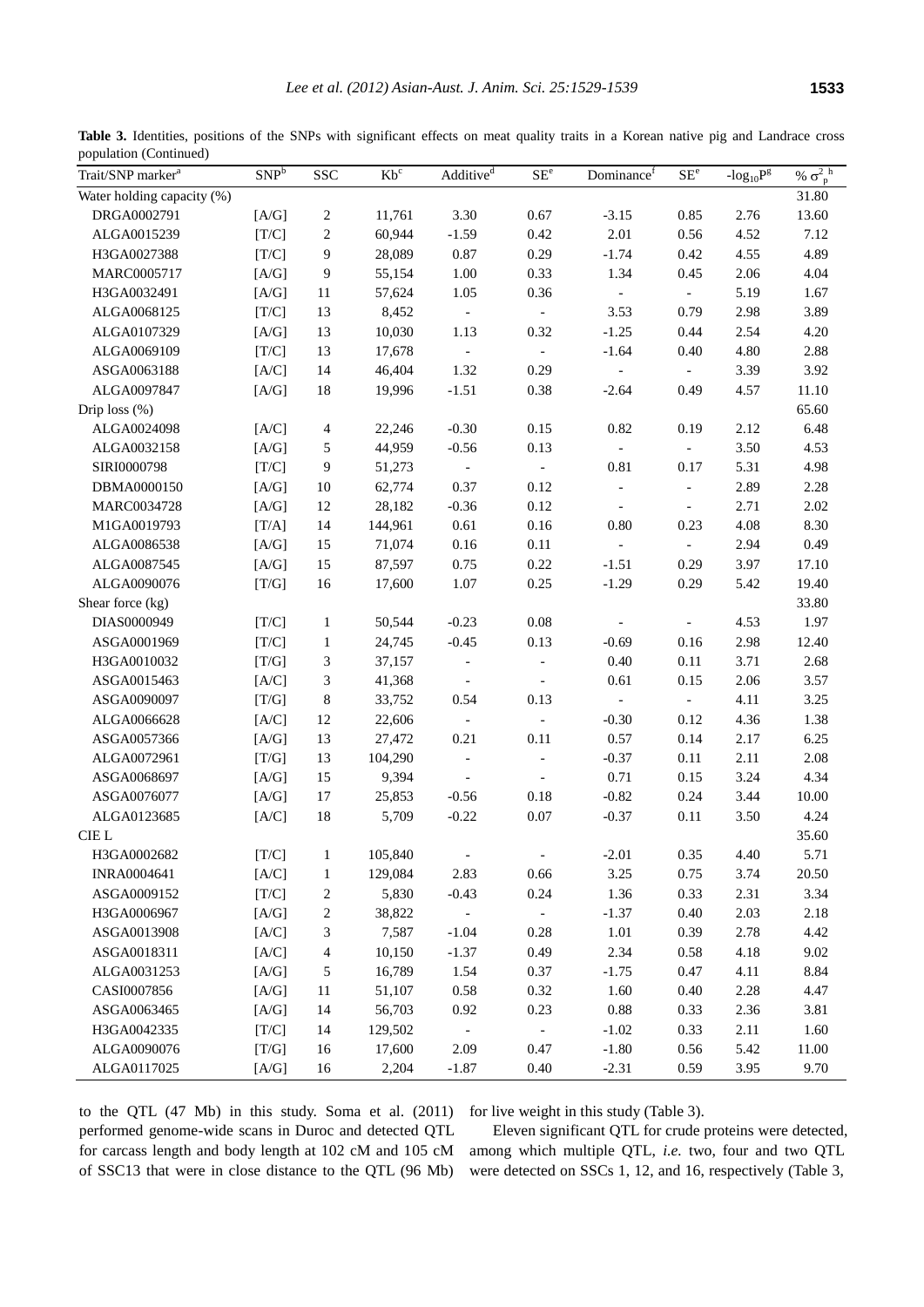**Table 3.** Identities, positions of the SNPs with significant effects on meat quality traits in a Korean native pig and Landrace cross population (Continued)

| Trait/SNP marker <sup>a</sup> | SNP <sup>b</sup> | <b>SSC</b>               | $Kb^c$  | Additive <sup>d</sup>    | SE <sup>e</sup>          | Dominance <sup>f</sup>   | $SE^e$                   | - $log_{10}P^g$ | % $\sigma_{p}^{2}$ <sup>h</sup> |
|-------------------------------|------------------|--------------------------|---------|--------------------------|--------------------------|--------------------------|--------------------------|-----------------|---------------------------------|
| Water holding capacity (%)    |                  |                          |         |                          |                          |                          |                          |                 | 31.80                           |
| DRGA0002791                   | [A/G]            | 2                        | 11,761  | 3.30                     | 0.67                     | $-3.15$                  | 0.85                     | 2.76            | 13.60                           |
| ALGA0015239                   | [T/C]            | $\sqrt{2}$               | 60,944  | $-1.59$                  | 0.42                     | 2.01                     | 0.56                     | 4.52            | 7.12                            |
| H3GA0027388                   | [T/C]            | 9                        | 28,089  | 0.87                     | 0.29                     | $-1.74$                  | 0.42                     | 4.55            | 4.89                            |
| MARC0005717                   | [A/G]            | 9                        | 55,154  | 1.00                     | 0.33                     | 1.34                     | 0.45                     | 2.06            | 4.04                            |
| H3GA0032491                   | [A/G]            | 11                       | 57,624  | 1.05                     | 0.36                     | $\overline{\phantom{a}}$ | $\sim$                   | 5.19            | 1.67                            |
| ALGA0068125                   | [T/C]            | 13                       | 8,452   | $\sim$                   | $\blacksquare$           | 3.53                     | 0.79                     | 2.98            | 3.89                            |
| ALGA0107329                   | [A/G]            | 13                       | 10,030  | 1.13                     | 0.32                     | $-1.25$                  | 0.44                     | 2.54            | 4.20                            |
| ALGA0069109                   | [T/C]            | 13                       | 17,678  | $\sim$                   | $\overline{\phantom{a}}$ | $-1.64$                  | 0.40                     | 4.80            | 2.88                            |
| ASGA0063188                   | [A/C]            | 14                       | 46,404  | 1.32                     | 0.29                     | $\overline{\phantom{a}}$ | $\sim$                   | 3.39            | 3.92                            |
| ALGA0097847                   | [A/G]            | 18                       | 19,996  | $-1.51$                  | 0.38                     | $-2.64$                  | 0.49                     | 4.57            | 11.10                           |
| Drip loss $(\%)$              |                  |                          |         |                          |                          |                          |                          |                 | 65.60                           |
| ALGA0024098                   | [A/C]            | $\overline{\mathcal{A}}$ | 22,246  | $-0.30$                  | 0.15                     | 0.82                     | 0.19                     | 2.12            | 6.48                            |
| ALGA0032158                   | [A/G]            | 5                        | 44,959  | $-0.56$                  | 0.13                     | $\blacksquare$           | $\sim$                   | 3.50            | 4.53                            |
| SIRI0000798                   | [T/C]            | $\boldsymbol{9}$         | 51,273  |                          | $\overline{\phantom{a}}$ | 0.81                     | 0.17                     | 5.31            | 4.98                            |
| DBMA0000150                   | [A/G]            | 10                       | 62,774  | 0.37                     | 0.12                     | $\qquad \qquad -$        | $\overline{\phantom{a}}$ | 2.89            | 2.28                            |
| MARC0034728                   | [A/G]            | 12                       | 28,182  | $-0.36$                  | 0.12                     | $\overline{\phantom{a}}$ | $\overline{\phantom{a}}$ | 2.71            | 2.02                            |
| M1GA0019793                   | [T/A]            | 14                       | 144,961 | 0.61                     | 0.16                     | 0.80                     | 0.23                     | 4.08            | 8.30                            |
| ALGA0086538                   | [A/G]            | 15                       | 71,074  | 0.16                     | 0.11                     | $\overline{\phantom{a}}$ | $\sim$                   | 2.94            | 0.49                            |
| ALGA0087545                   | [A/G]            | 15                       | 87,597  | 0.75                     | 0.22                     | $-1.51$                  | 0.29                     | 3.97            | 17.10                           |
| ALGA0090076                   | [T/G]            | 16                       | 17,600  | 1.07                     | 0.25                     | $-1.29$                  | 0.29                     | 5.42            | 19.40                           |
| Shear force (kg)              |                  |                          |         |                          |                          |                          |                          |                 | 33.80                           |
| DIAS0000949                   | [T/C]            | $\mathbf{1}$             | 50,544  | $-0.23$                  | 0.08                     |                          | $\overline{\phantom{a}}$ | 4.53            | 1.97                            |
| ASGA0001969                   | [T/C]            | $\mathbf{1}$             | 24,745  | $-0.45$                  | 0.13                     | $-0.69$                  | 0.16                     | 2.98            | 12.40                           |
| H3GA0010032                   | [T/G]            | $\mathfrak{Z}$           | 37,157  | $\overline{\phantom{a}}$ | $\overline{\phantom{a}}$ | 0.40                     | 0.11                     | 3.71            | 2.68                            |
| ASGA0015463                   | [A/C]            | $\mathfrak{Z}$           | 41,368  | $\overline{\phantom{a}}$ | $\mathcal{L}$            | 0.61                     | 0.15                     | 2.06            | 3.57                            |
| ASGA0090097                   | [T/G]            | $\,8\,$                  | 33,752  | 0.54                     | 0.13                     | $\overline{\phantom{a}}$ | $\overline{\phantom{a}}$ | 4.11            | 3.25                            |
| ALGA0066628                   | [A/C]            | 12                       | 22,606  | $\overline{\phantom{a}}$ | $\overline{\phantom{a}}$ | $-0.30$                  | 0.12                     | 4.36            | 1.38                            |
| ASGA0057366                   | [A/G]            | 13                       | 27,472  | 0.21                     | 0.11                     | 0.57                     | 0.14                     | 2.17            | 6.25                            |
| ALGA0072961                   | [T/G]            | 13                       | 104,290 | $\blacksquare$           | $\overline{\phantom{a}}$ | $-0.37$                  | 0.11                     | 2.11            | 2.08                            |
| ASGA0068697                   | [A/G]            | 15                       | 9,394   | $\overline{\phantom{a}}$ | $\overline{\phantom{a}}$ | 0.71                     | 0.15                     | 3.24            | 4.34                            |
| ASGA0076077                   | [A/G]            | 17                       | 25,853  | $-0.56$                  | 0.18                     | $-0.82$                  | 0.24                     | 3.44            | 10.00                           |
| ALGA0123685                   | [A/C]            | 18                       | 5,709   | $-0.22$                  | 0.07                     | $-0.37$                  | 0.11                     | 3.50            | 4.24                            |
| CIE L                         |                  |                          |         |                          |                          |                          |                          |                 | 35.60                           |
| H3GA0002682                   | [T/C]            | $\mathbf{1}$             | 105,840 |                          | $\overline{a}$           | $-2.01$                  | 0.35                     | 4.40            | 5.71                            |
| <b>INRA0004641</b>            | [A/C]            | $\mathbf{1}$             | 129,084 | 2.83                     | 0.66                     | 3.25                     | 0.75                     | 3.74            | 20.50                           |
| ASGA0009152                   | $[T/C]$          | $\boldsymbol{2}$         | 5,830   | $-0.43$                  | 0.24                     | 1.36                     | 0.33                     | 2.31            | 3.34                            |
| H3GA0006967                   | [A/G]            | $\boldsymbol{2}$         | 38,822  | $\blacksquare$           | $\overline{\phantom{a}}$ | $-1.37$                  | 0.40                     | 2.03            | 2.18                            |
| ASGA0013908                   | [A/C]            | 3                        | 7,587   | $-1.04$                  | 0.28                     | 1.01                     | 0.39                     | 2.78            | 4.42                            |
| ASGA0018311                   | [A/C]            | $\overline{\mathcal{A}}$ | 10,150  | $-1.37$                  | 0.49                     | 2.34                     | 0.58                     | 4.18            | 9.02                            |
| ALGA0031253                   | [A/G]            | 5                        | 16,789  | 1.54                     | 0.37                     | $-1.75$                  | 0.47                     | 4.11            | 8.84                            |
| CASI0007856                   | [A/G]            | 11                       | 51,107  | 0.58                     | 0.32                     | 1.60                     | 0.40                     | 2.28            | 4.47                            |
| ASGA0063465                   | [A/G]            | 14                       | 56,703  | 0.92                     | 0.23                     | 0.88                     | 0.33                     | 2.36            | 3.81                            |
| H3GA0042335                   | [T/C]            | 14                       | 129,502 | $\overline{\phantom{a}}$ | $\overline{\phantom{a}}$ | $-1.02$                  | 0.33                     | 2.11            | 1.60                            |
| ALGA0090076                   | [T/G]            | 16                       | 17,600  | 2.09                     | 0.47                     | $-1.80$                  | 0.56                     | 5.42            | 11.00                           |
| ALGA0117025                   | [A/G]            | 16                       | 2,204   | $-1.87$                  | 0.40                     | $-2.31$                  | 0.59                     | 3.95            | 9.70                            |

to the QTL (47 Mb) in this study. Soma et al. (2011) performed genome-wide scans in Duroc and detected QTL for carcass length and body length at 102 cM and 105 cM of SSC13 that were in close distance to the QTL (96 Mb) for live weight in this study (Table 3).

Eleven significant QTL for crude proteins were detected, among which multiple QTL, *i.e.* two, four and two QTL were detected on SSCs 1, 12, and 16, respectively (Table 3,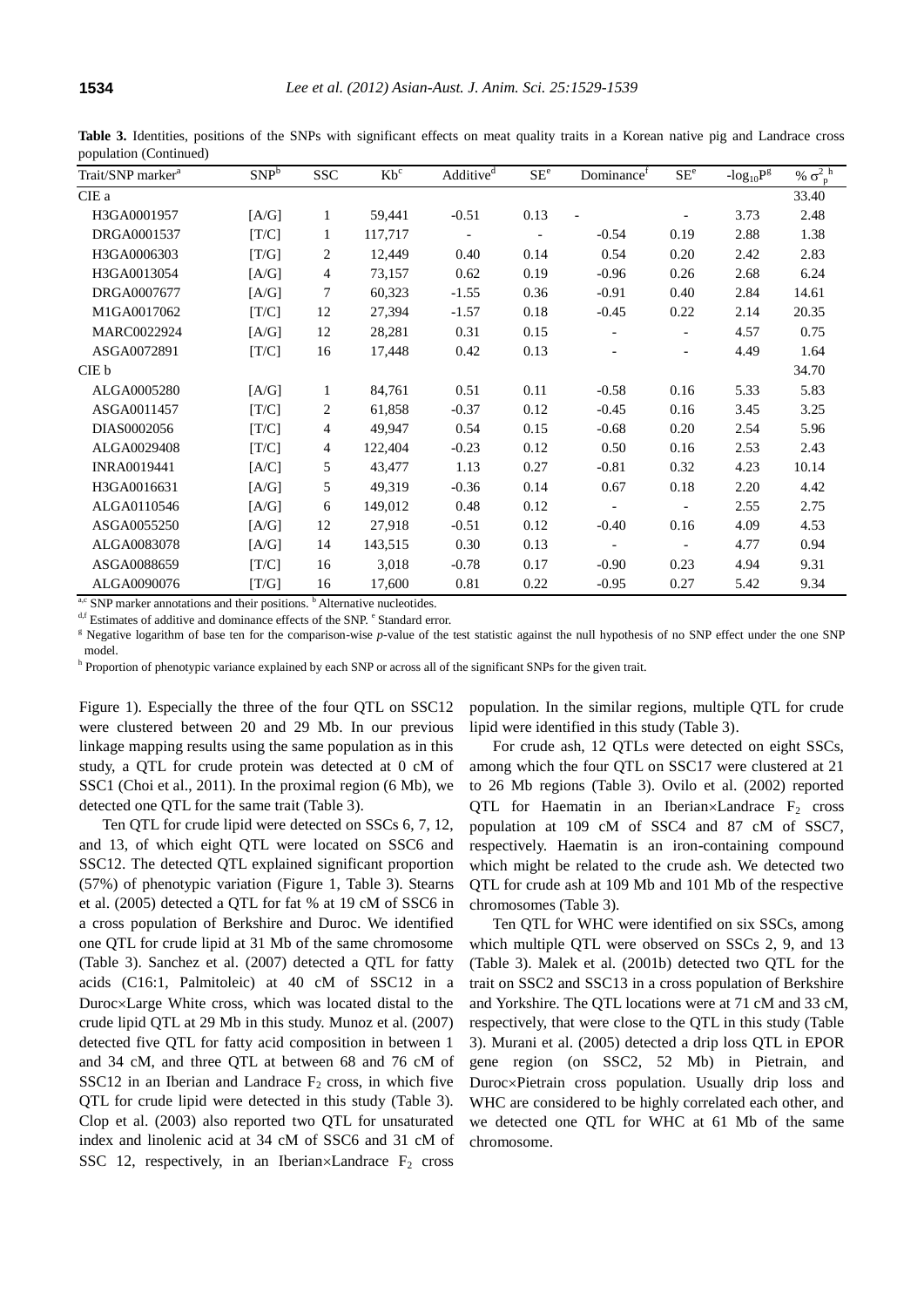| Trait/SNP marker <sup>a</sup> | SNP <sup>b</sup> | <b>SSC</b>     | $Kb^c$  | Additive <sup>d</sup>    | SE <sup>e</sup> | Dominance <sup>f</sup>   | SE <sup>e</sup>          | $-log_{10}Pg$ | % $\sigma_{p}^{2}$ <sup>h</sup> |
|-------------------------------|------------------|----------------|---------|--------------------------|-----------------|--------------------------|--------------------------|---------------|---------------------------------|
| CIE a                         |                  |                |         |                          |                 |                          |                          |               | 33.40                           |
| H3GA0001957                   | [A/G]            | 1              | 59,441  | $-0.51$                  | 0.13            |                          |                          | 3.73          | 2.48                            |
| DRGA0001537                   | [T/C]            | 1              | 117,717 | $\overline{\phantom{a}}$ |                 | $-0.54$                  | 0.19                     | 2.88          | 1.38                            |
| H3GA0006303                   | [T/G]            | 2              | 12,449  | 0.40                     | 0.14            | 0.54                     | 0.20                     | 2.42          | 2.83                            |
| H3GA0013054                   | [A/G]            | $\overline{4}$ | 73,157  | 0.62                     | 0.19            | $-0.96$                  | 0.26                     | 2.68          | 6.24                            |
| DRGA0007677                   | [A/G]            | 7              | 60,323  | $-1.55$                  | 0.36            | $-0.91$                  | 0.40                     | 2.84          | 14.61                           |
| M1GA0017062                   | [T/C]            | 12             | 27,394  | $-1.57$                  | 0.18            | $-0.45$                  | 0.22                     | 2.14          | 20.35                           |
| MARC0022924                   | [A/G]            | 12             | 28,281  | 0.31                     | 0.15            | $\overline{\phantom{a}}$ | $\overline{\phantom{0}}$ | 4.57          | 0.75                            |
| ASGA0072891                   | [T/C]            | 16             | 17,448  | 0.42                     | 0.13            | $\overline{\phantom{a}}$ | $\overline{\phantom{0}}$ | 4.49          | 1.64                            |
| CIE b                         |                  |                |         |                          |                 |                          |                          |               | 34.70                           |
| ALGA0005280                   | [A/G]            | 1              | 84,761  | 0.51                     | 0.11            | $-0.58$                  | 0.16                     | 5.33          | 5.83                            |
| ASGA0011457                   | [T/C]            | 2              | 61,858  | $-0.37$                  | 0.12            | $-0.45$                  | 0.16                     | 3.45          | 3.25                            |
| DIAS0002056                   | [T/C]            | $\overline{4}$ | 49,947  | 0.54                     | 0.15            | $-0.68$                  | 0.20                     | 2.54          | 5.96                            |
| ALGA0029408                   | [T/C]            | $\overline{4}$ | 122,404 | $-0.23$                  | 0.12            | 0.50                     | 0.16                     | 2.53          | 2.43                            |
| <b>INRA0019441</b>            | [A/C]            | 5              | 43,477  | 1.13                     | 0.27            | $-0.81$                  | 0.32                     | 4.23          | 10.14                           |
| H3GA0016631                   | [A/G]            | 5              | 49,319  | $-0.36$                  | 0.14            | 0.67                     | 0.18                     | 2.20          | 4.42                            |
| ALGA0110546                   | [A/G]            | 6              | 149,012 | 0.48                     | 0.12            | $\sim$                   | $\overline{\phantom{a}}$ | 2.55          | 2.75                            |
| ASGA0055250                   | [A/G]            | 12             | 27,918  | $-0.51$                  | 0.12            | $-0.40$                  | 0.16                     | 4.09          | 4.53                            |
| ALGA0083078                   | [A/G]            | 14             | 143,515 | 0.30                     | 0.13            | $\overline{\phantom{a}}$ | $\overline{\phantom{a}}$ | 4.77          | 0.94                            |
| ASGA0088659                   | [T/C]            | 16             | 3,018   | $-0.78$                  | 0.17            | $-0.90$                  | 0.23                     | 4.94          | 9.31                            |
| ALGA0090076                   | [T/G]            | 16             | 17,600  | 0.81                     | 0.22            | $-0.95$                  | 0.27                     | 5.42          | 9.34                            |

**Table 3.** Identities, positions of the SNPs with significant effects on meat quality traits in a Korean native pig and Landrace cross population (Continued)

a,c SNP marker annotations and their positions. <sup>b</sup> Alternative nucleotides.

<sup>d,f</sup> Estimates of additive and dominance effects of the SNP. <sup>e</sup> Standard error.

<sup>g</sup> Negative logarithm of base ten for the comparison-wise *p*-value of the test statistic against the null hypothesis of no SNP effect under the one SNP model.

<sup>h</sup> Proportion of phenotypic variance explained by each SNP or across all of the significant SNPs for the given trait.

Figure 1). Especially the three of the four QTL on SSC12 were clustered between 20 and 29 Mb. In our previous linkage mapping results using the same population as in this study, a QTL for crude protein was detected at 0 cM of SSC1 (Choi et al., 2011). In the proximal region (6 Mb), we detected one QTL for the same trait (Table 3).

Ten QTL for crude lipid were detected on SSCs 6, 7, 12, and 13, of which eight QTL were located on SSC6 and SSC12. The detected QTL explained significant proportion (57%) of phenotypic variation (Figure 1, Table 3). Stearns et al. (2005) detected a QTL for fat % at 19 cM of SSC6 in a cross population of Berkshire and Duroc. We identified one QTL for crude lipid at 31 Mb of the same chromosome (Table 3). Sanchez et al. (2007) detected a QTL for fatty acids (C16:1, Palmitoleic) at 40 cM of SSC12 in a Duroc×Large White cross, which was located distal to the crude lipid QTL at 29 Mb in this study. Munoz et al. (2007) detected five QTL for fatty acid composition in between 1 and 34 cM, and three QTL at between 68 and 76 cM of SSC12 in an Iberian and Landrace  $F_2$  cross, in which five QTL for crude lipid were detected in this study (Table 3). Clop et al. (2003) also reported two QTL for unsaturated index and linolenic acid at 34 cM of SSC6 and 31 cM of SSC 12, respectively, in an Iberian×Landrace  $F_2$  cross

population. In the similar regions, multiple QTL for crude lipid were identified in this study (Table 3).

For crude ash, 12 QTLs were detected on eight SSCs, among which the four QTL on SSC17 were clustered at 21 to 26 Mb regions (Table 3). Ovilo et al. (2002) reported QTL for Haematin in an Iberian×Landrace  $F_2$  cross population at 109 cM of SSC4 and 87 cM of SSC7, respectively. Haematin is an iron-containing compound which might be related to the crude ash. We detected two QTL for crude ash at 109 Mb and 101 Mb of the respective chromosomes (Table 3).

Ten QTL for WHC were identified on six SSCs, among which multiple QTL were observed on SSCs 2, 9, and 13 (Table 3). Malek et al. (2001b) detected two QTL for the trait on SSC2 and SSC13 in a cross population of Berkshire and Yorkshire. The QTL locations were at 71 cM and 33 cM, respectively, that were close to the QTL in this study (Table 3). Murani et al. (2005) detected a drip loss QTL in EPOR gene region (on SSC2, 52 Mb) in Pietrain, and Duroc×Pietrain cross population. Usually drip loss and WHC are considered to be highly correlated each other, and we detected one QTL for WHC at 61 Mb of the same chromosome.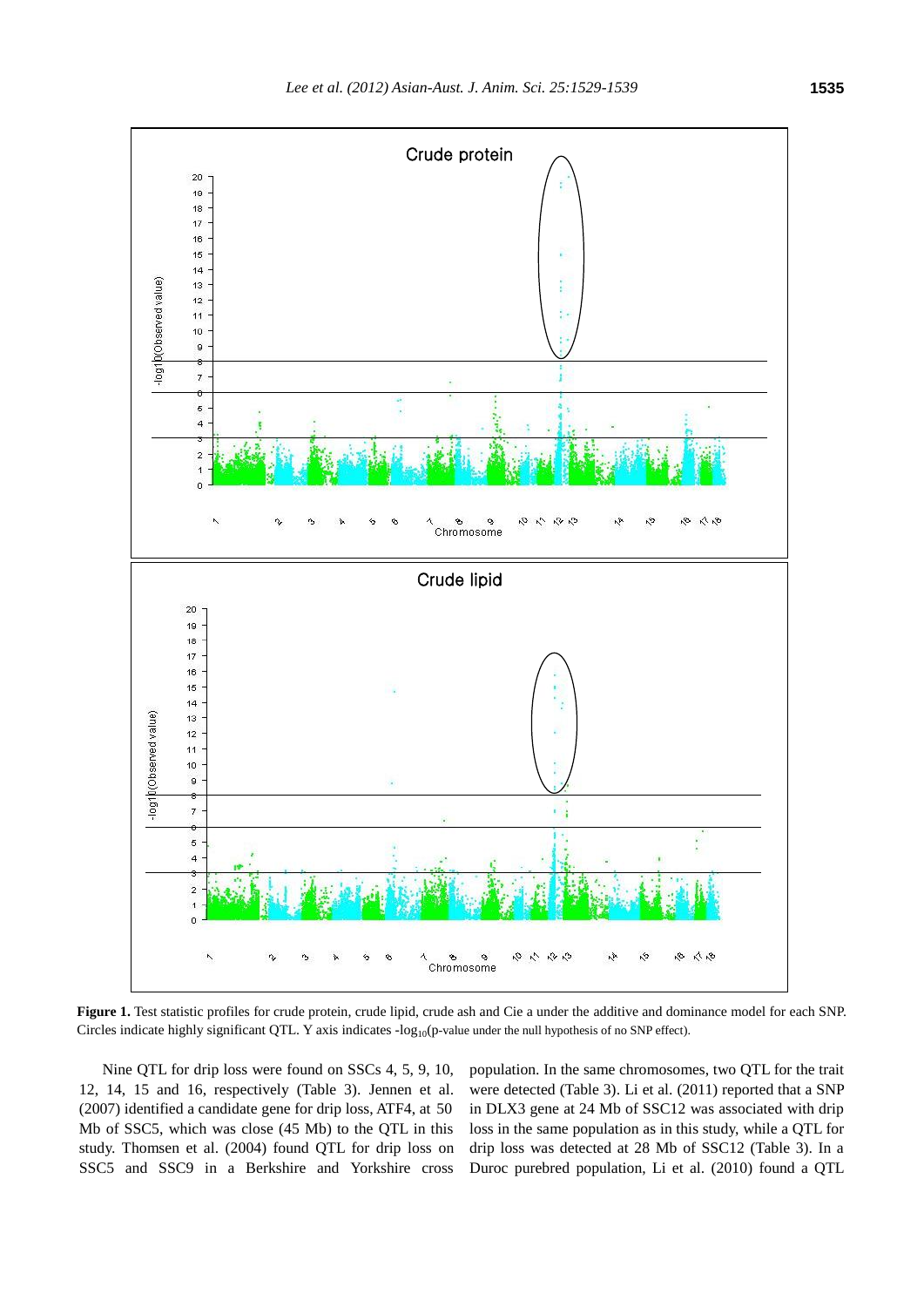

**Figure 1.** Test statistic profiles for crude protein, crude lipid, crude ash and Cie a under the additive and dominance model for each SNP. Circles indicate highly significant QTL. Y axis indicates  $-log_{10}(p-value$  under the null hypothesis of no SNP effect).

Nine QTL for drip loss were found on SSCs 4, 5, 9, 10, 12, 14, 15 and 16, respectively (Table 3). Jennen et al. (2007) identified a candidate gene for drip loss, ATF4, at 50 Mb of SSC5, which was close (45 Mb) to the QTL in this study. Thomsen et al. (2004) found QTL for drip loss on SSC5 and SSC9 in a Berkshire and Yorkshire cross population. In the same chromosomes, two QTL for the trait were detected (Table 3). Li et al. (2011) reported that a SNP in DLX3 gene at 24 Mb of SSC12 was associated with drip loss in the same population as in this study, while a QTL for drip loss was detected at 28 Mb of SSC12 (Table 3). In a Duroc purebred population, Li et al. (2010) found a QTL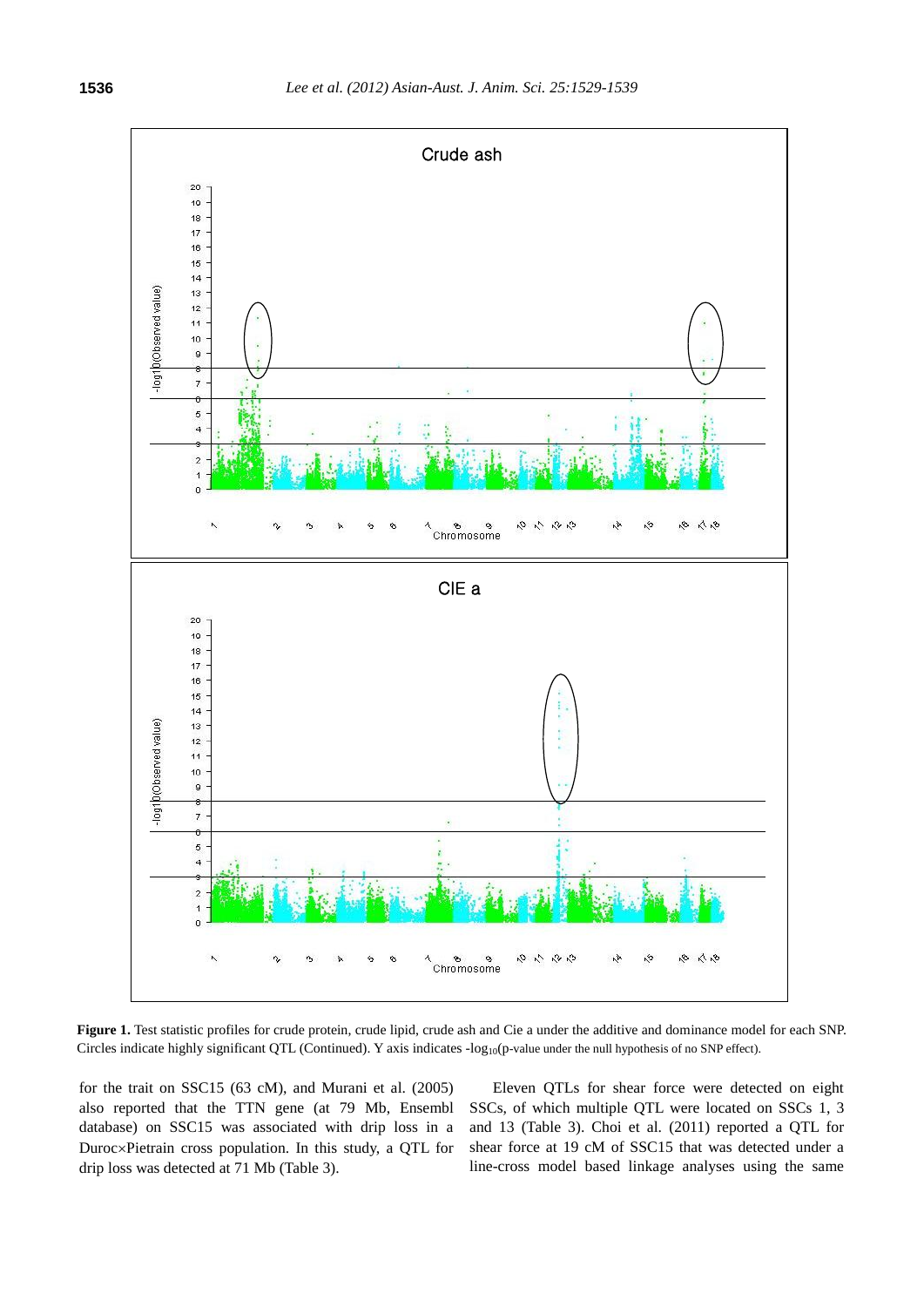

**Figure 1.** Test statistic profiles for crude protein, crude lipid, crude ash and Cie a under the additive and dominance model for each SNP. Circles indicate highly significant QTL (Continued). Y axis indicates -log<sub>10</sub>(p-value under the null hypothesis of no SNP effect).

for the trait on SSC15 (63 cM), and Murani et al. (2005) also reported that the TTN gene (at 79 Mb, Ensembl database) on SSC15 was associated with drip loss in a Duroc×Pietrain cross population. In this study, a QTL for drip loss was detected at 71 Mb (Table 3).

Eleven QTLs for shear force were detected on eight SSCs, of which multiple QTL were located on SSCs 1, 3 and 13 (Table 3). Choi et al. (2011) reported a QTL for shear force at 19 cM of SSC15 that was detected under a line-cross model based linkage analyses using the same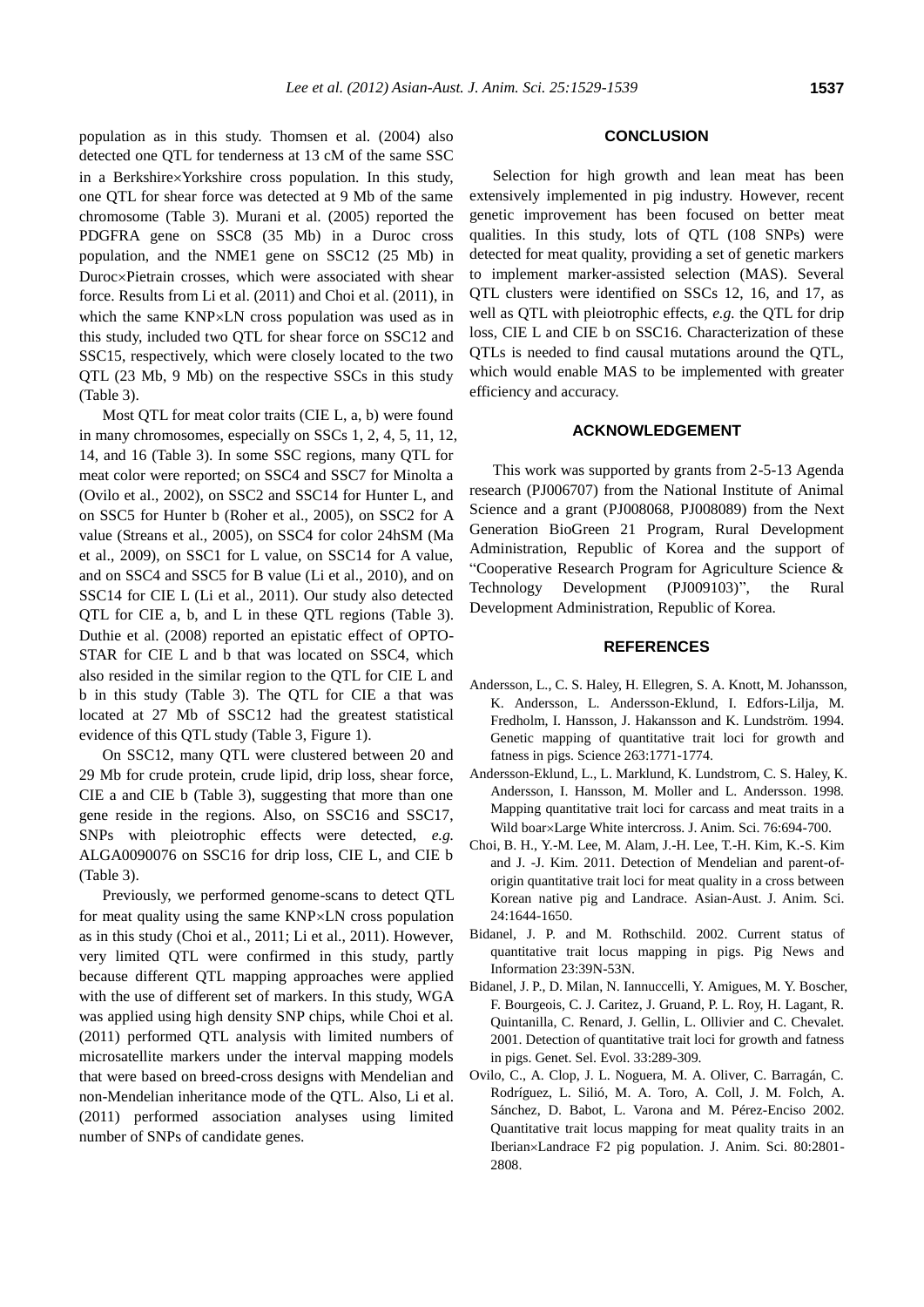population as in this study. Thomsen et al. (2004) also detected one QTL for tenderness at 13 cM of the same SSC in a Berkshire×Yorkshire cross population. In this study, one QTL for shear force was detected at 9 Mb of the same chromosome (Table 3). Murani et al. (2005) reported the PDGFRA gene on SSC8 (35 Mb) in a Duroc cross population, and the NME1 gene on SSC12 (25 Mb) in Duroc×Pietrain crosses, which were associated with shear force. Results from Li et al. (2011) and Choi et al. (2011), in which the same  $KNP\times LN$  cross population was used as in this study, included two QTL for shear force on SSC12 and SSC15, respectively, which were closely located to the two QTL (23 Mb, 9 Mb) on the respective SSCs in this study (Table 3).

Most QTL for meat color traits (CIE L, a, b) were found in many chromosomes, especially on SSCs 1, 2, 4, 5, 11, 12, 14, and 16 (Table 3). In some SSC regions, many QTL for meat color were reported; on SSC4 and SSC7 for Minolta a (Ovilo et al., 2002), on SSC2 and SSC14 for Hunter L, and on SSC5 for Hunter b (Roher et al., 2005), on SSC2 for A value (Streans et al., 2005), on SSC4 for color 24hSM (Ma et al., 2009), on SSC1 for L value, on SSC14 for A value, and on SSC4 and SSC5 for B value (Li et al., 2010), and on SSC14 for CIE L (Li et al., 2011). Our study also detected QTL for CIE a, b, and L in these QTL regions (Table 3). Duthie et al. (2008) reported an epistatic effect of OPTO-STAR for CIE L and b that was located on SSC4, which also resided in the similar region to the QTL for CIE L and b in this study (Table 3). The QTL for CIE a that was located at 27 Mb of SSC12 had the greatest statistical evidence of this QTL study (Table 3, Figure 1).

On SSC12, many QTL were clustered between 20 and 29 Mb for crude protein, crude lipid, drip loss, shear force, CIE a and CIE b (Table 3), suggesting that more than one gene reside in the regions. Also, on SSC16 and SSC17, SNPs with pleiotrophic effects were detected, *e.g.* ALGA0090076 on SSC16 for drip loss, CIE L, and CIE b (Table 3).

Previously, we performed genome-scans to detect QTL for meat quality using the same KNP×LN cross population as in this study (Choi et al., 2011; Li et al., 2011). However, very limited QTL were confirmed in this study, partly because different QTL mapping approaches were applied with the use of different set of markers. In this study, WGA was applied using high density SNP chips, while Choi et al. (2011) performed QTL analysis with limited numbers of microsatellite markers under the interval mapping models that were based on breed-cross designs with Mendelian and non-Mendelian inheritance mode of the QTL. Also, Li et al. (2011) performed association analyses using limited number of SNPs of candidate genes.

# **CONCLUSION**

Selection for high growth and lean meat has been extensively implemented in pig industry. However, recent genetic improvement has been focused on better meat qualities. In this study, lots of QTL (108 SNPs) were detected for meat quality, providing a set of genetic markers to implement marker-assisted selection (MAS). Several QTL clusters were identified on SSCs 12, 16, and 17, as well as QTL with pleiotrophic effects, *e.g.* the QTL for drip loss, CIE L and CIE b on SSC16. Characterization of these QTLs is needed to find causal mutations around the QTL, which would enable MAS to be implemented with greater efficiency and accuracy.

# **ACKNOWLEDGEMENT**

This work was supported by grants from 2-5-13 Agenda research (PJ006707) from the National Institute of Animal Science and a grant (PJ008068, PJ008089) from the Next Generation BioGreen 21 Program, Rural Development Administration, Republic of Korea and the support of "Cooperative Research Program for Agriculture Science & Technology Development (PJ009103)", the Rural Development Administration, Republic of Korea.

### **REFERENCES**

- Andersson, L., C. S. Haley, H. Ellegren, S. A. Knott, M. Johansson, K. Andersson, L. Andersson-Eklund, I. Edfors-Lilja, M. Fredholm, I. Hansson, J. Hakansson and K. Lundström. 1994. Genetic mapping of quantitative trait loci for growth and fatness in pigs. Science 263:1771-1774.
- Andersson-Eklund, L., L. Marklund, K. Lundstrom, C. S. Haley, K. Andersson, I. Hansson, M. Moller and L. Andersson. 1998. Mapping quantitative trait loci for carcass and meat traits in a Wild boar×Large White intercross. J. Anim. Sci. 76:694-700.
- Choi, B. H., Y.-M. Lee, M. Alam, J.-H. Lee, T.-H. Kim, K.-S. Kim and J. -J. Kim. 2011. Detection of Mendelian and parent-oforigin quantitative trait loci for meat quality in a cross between Korean native pig and Landrace. Asian-Aust. J. Anim. Sci. 24:1644-1650.
- Bidanel, J. P. and M. Rothschild. 2002. Current status of quantitative trait locus mapping in pigs. Pig News and Information 23:39N-53N.
- Bidanel, J. P., D. Milan, N. Iannuccelli, Y. Amigues, M. Y. Boscher, F. Bourgeois, C. J. Caritez, J. Gruand, P. L. Roy, H. Lagant, R. Quintanilla, C. Renard, J. Gellin, L. Ollivier and C. Chevalet. 2001. Detection of quantitative trait loci for growth and fatness in pigs. Genet. Sel. Evol. 33:289-309.
- Ovilo, C., A. Clop, J. L. Noguera, M. A. Oliver, C. Barragán, C. Rodríguez, L. Silió, M. A. Toro, A. Coll, J. M. Folch, A. Sánchez, D. Babot, L. Varona and M. Pérez-Enciso 2002. Quantitative trait locus mapping for meat quality traits in an Iberian×Landrace F2 pig population. J. Anim. Sci. 80:2801-2808.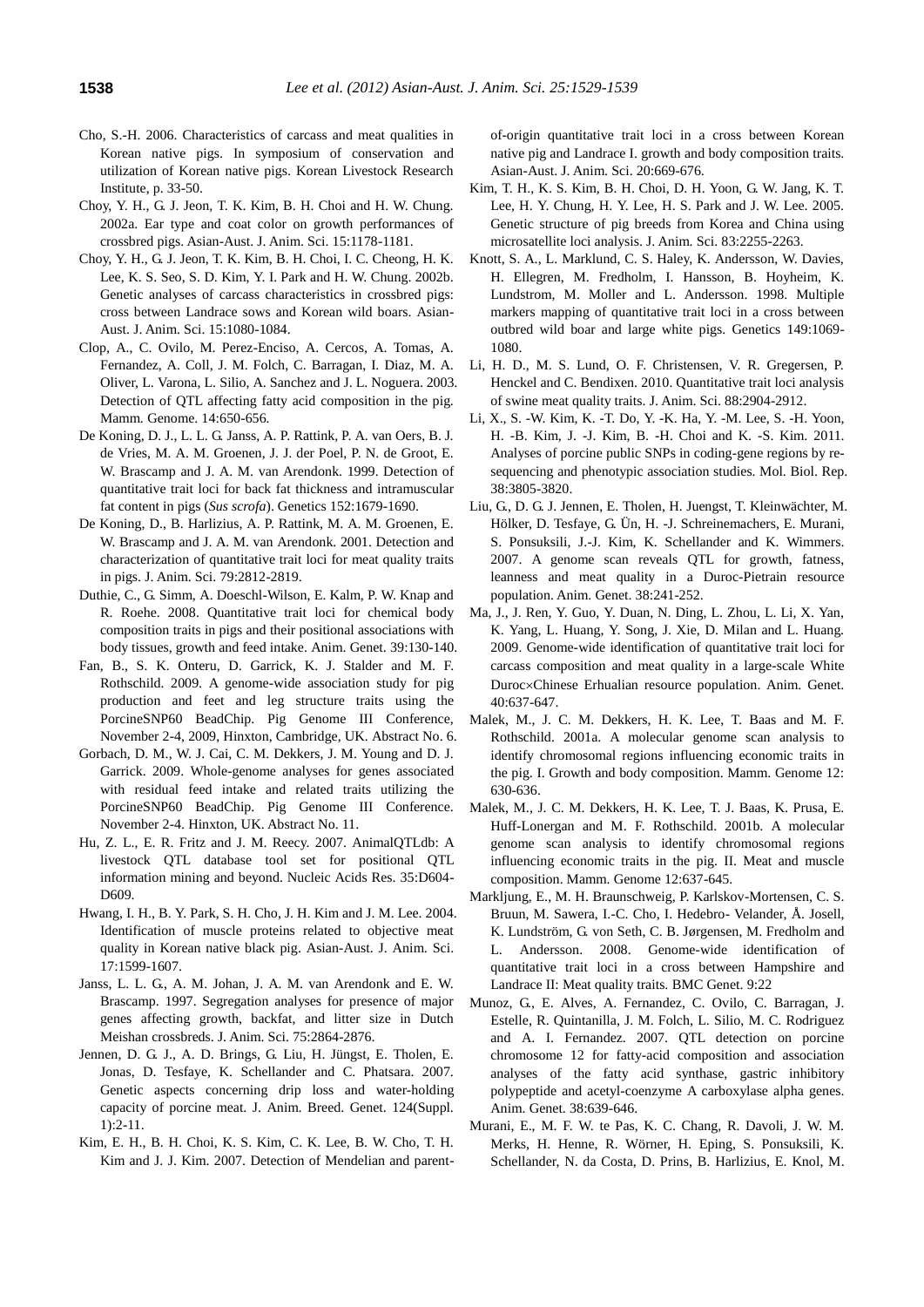- Cho, S.-H. 2006. Characteristics of carcass and meat qualities in Korean native pigs. In symposium of conservation and utilization of Korean native pigs. Korean Livestock Research Institute, p. 33-50.
- Choy, Y. H., G. J. Jeon, T. K. Kim, B. H. Choi and H. W. Chung. 2002a. Ear type and coat color on growth performances of crossbred pigs. Asian-Aust. J. Anim. Sci. 15:1178-1181.
- Choy, Y. H., G. J. Jeon, T. K. Kim, B. H. Choi, I. C. Cheong, H. K. Lee, K. S. Seo, S. D. Kim, Y. I. Park and H. W. Chung. 2002b. Genetic analyses of carcass characteristics in crossbred pigs: cross between Landrace sows and Korean wild boars. Asian-Aust. J. Anim. Sci. 15:1080-1084.
- Clop, A., C. Ovilo, M. Perez-Enciso, A. Cercos, A. Tomas, A. Fernandez, A. Coll, J. M. Folch, C. Barragan, I. Diaz, M. A. Oliver, L. Varona, L. Silio, A. Sanchez and J. L. Noguera. 2003. Detection of QTL affecting fatty acid composition in the pig. Mamm. Genome. 14:650-656.
- De Koning, D. J., L. L. G. Janss, A. P. Rattink, P. A. van Oers, B. J. de Vries, M. A. M. Groenen, J. J. der Poel, P. N. de Groot, E. W. Brascamp and J. A. M. van Arendonk. 1999. Detection of quantitative trait loci for back fat thickness and intramuscular fat content in pigs (*Sus scrofa*). Genetics 152:1679-1690.
- De Koning, D., B. Harlizius, A. P. Rattink, M. A. M. Groenen, E. W. Brascamp and J. A. M. van Arendonk. 2001. Detection and characterization of quantitative trait loci for meat quality traits in pigs. J. Anim. Sci. 79:2812-2819.
- Duthie, C., G. Simm, A. Doeschl-Wilson, E. Kalm, P. W. Knap and R. Roehe. 2008. Quantitative trait loci for chemical body composition traits in pigs and their positional associations with body tissues, growth and feed intake. Anim. Genet. 39:130-140.
- Fan, B., S. K. Onteru, D. Garrick, K. J. Stalder and M. F. Rothschild. 2009. A genome-wide association study for pig production and feet and leg structure traits using the PorcineSNP60 BeadChip. Pig Genome III Conference, November 2-4, 2009, Hinxton, Cambridge, UK. Abstract No. 6.
- Gorbach, D. M., W. J. Cai, C. M. Dekkers, J. M. Young and D. J. Garrick. 2009. Whole-genome analyses for genes associated with residual feed intake and related traits utilizing the PorcineSNP60 BeadChip. Pig Genome III Conference. November 2-4. Hinxton, UK. Abstract No. 11.
- Hu, Z. L., E. R. Fritz and J. M. Reecy. 2007. AnimalQTLdb: A livestock QTL database tool set for positional QTL information mining and beyond. Nucleic Acids Res. 35:D604- D<sub>609</sub>
- Hwang, I. H., B. Y. Park, S. H. Cho, J. H. Kim and J. M. Lee. 2004. Identification of muscle proteins related to objective meat quality in Korean native black pig. Asian-Aust. J. Anim. Sci. 17:1599-1607.
- Janss, L. L. G., A. M. Johan, J. A. M. van Arendonk and E. W. Brascamp. 1997. Segregation analyses for presence of major genes affecting growth, backfat, and litter size in Dutch Meishan crossbreds. J. Anim. Sci. 75:2864-2876.
- Jennen, D. G. J., A. D. Brings, G. Liu, H. Jüngst, E. Tholen, E. Jonas, D. Tesfaye, K. Schellander and C. Phatsara. 2007. Genetic aspects concerning drip loss and water-holding capacity of porcine meat. J. Anim. Breed. Genet. 124(Suppl. 1):2-11.
- Kim, E. H., B. H. Choi, K. S. Kim, C. K. Lee, B. W. Cho, T. H. Kim and J. J. Kim. 2007. Detection of Mendelian and parent-

of-origin quantitative trait loci in a cross between Korean native pig and Landrace I. growth and body composition traits. Asian-Aust. J. Anim. Sci. 20:669-676.

- Kim, T. H., K. S. Kim, B. H. Choi, D. H. Yoon, G. W. Jang, K. T. Lee, H. Y. Chung, H. Y. Lee, H. S. Park and J. W. Lee. 2005. Genetic structure of pig breeds from Korea and China using microsatellite loci analysis. J. Anim. Sci. 83:2255-2263.
- Knott, S. A., L. Marklund, C. S. Haley, K. Andersson, W. Davies, H. Ellegren, M. Fredholm, I. Hansson, B. Hoyheim, K. Lundstrom, M. Moller and L. Andersson. 1998. Multiple markers mapping of quantitative trait loci in a cross between outbred wild boar and large white pigs. Genetics 149:1069- 1080.
- Li, H. D., M. S. Lund, O. F. Christensen, V. R. Gregersen, P. Henckel and C. Bendixen. 2010. Quantitative trait loci analysis of swine meat quality traits. J. Anim. Sci. 88:2904-2912.
- Li, X., S. -W. Kim, K. -T. Do, Y. -K. Ha, Y. -M. Lee, S. -H. Yoon, H. -B. Kim, J. -J. Kim, B. -H. Choi and K. -S. Kim. 2011. Analyses of porcine public SNPs in coding-gene regions by resequencing and phenotypic association studies. Mol. Biol. Rep. 38:3805-3820.
- Liu, G., D. G. J. Jennen, E. Tholen, H. Juengst, T. Kleinwächter, M. Hölker, D. Tesfaye, G. Ü n, H. -J. Schreinemachers, E. Murani, S. Ponsuksili, J.-J. Kim, K. Schellander and K. Wimmers. 2007. A genome scan reveals QTL for growth, fatness, leanness and meat quality in a Duroc-Pietrain resource population. Anim. Genet. 38:241-252.
- Ma, J., J. Ren, Y. Guo, Y. Duan, N. Ding, L. Zhou, L. Li, X. Yan, K. Yang, L. Huang, Y. Song, J. Xie, D. Milan and L. Huang. 2009. Genome-wide identification of quantitative trait loci for carcass composition and meat quality in a large-scale White Duroc×Chinese Erhualian resource population. Anim. Genet. 40:637-647.
- Malek, M., J. C. M. Dekkers, H. K. Lee, T. Baas and M. F. Rothschild. 2001a. A molecular genome scan analysis to identify chromosomal regions influencing economic traits in the pig. I. Growth and body composition. Mamm. Genome 12: 630-636.
- Malek, M., J. C. M. Dekkers, H. K. Lee, T. J. Baas, K. Prusa, E. Huff-Lonergan and M. F. Rothschild. 2001b. A molecular genome scan analysis to identify chromosomal regions influencing economic traits in the pig. II. Meat and muscle composition. Mamm. Genome 12:637-645.
- Markljung, E., M. H. Braunschweig, P. Karlskov-Mortensen, C. S. Bruun, M. Sawera, I.-C. Cho, I. Hedebro- Velander, Å . Josell, K. Lundström, G. von Seth, C. B. Jørgensen, M. Fredholm and L. Andersson. 2008. Genome-wide identification of quantitative trait loci in a cross between Hampshire and Landrace II: Meat quality traits. BMC Genet. 9:22
- Munoz, G., E. Alves, A. Fernandez, C. Ovilo, C. Barragan, J. Estelle, R. Quintanilla, J. M. Folch, L. Silio, M. C. Rodriguez and A. I. Fernandez. 2007. QTL detection on porcine chromosome 12 for fatty-acid composition and association analyses of the fatty acid synthase, gastric inhibitory polypeptide and acetyl-coenzyme A carboxylase alpha genes. Anim. Genet. 38:639-646.
- Murani, E., M. F. W. te Pas, K. C. Chang, R. Davoli, J. W. M. Merks, H. Henne, R. Wörner, H. Eping, S. Ponsuksili, K. Schellander, N. da Costa, D. Prins, B. Harlizius, E. Knol, M.